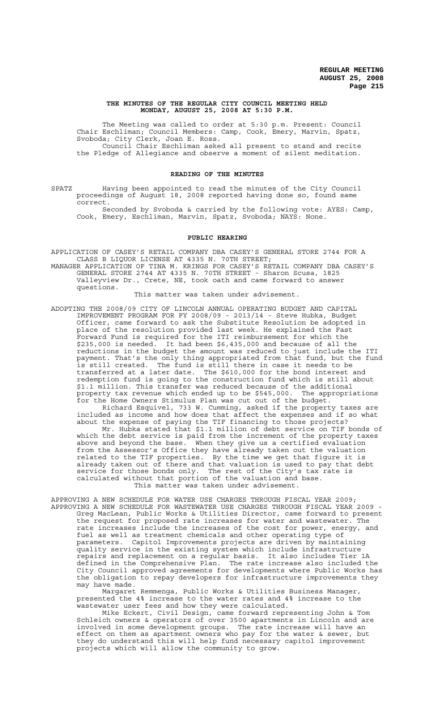#### **THE MINUTES OF THE REGULAR CITY COUNCIL MEETING HELD MONDAY, AUGUST 25, 2008 AT 5:30 P.M.**

The Meeting was called to order at 5:30 p.m. Present: Council Chair Eschliman; Council Members: Camp, Cook, Emery, Marvin, Spatz, Svoboda; City Clerk, Joan E. Ross. Council Chair Eschliman asked all present to stand and recite the Pledge of Allegiance and observe a moment of silent meditation.

#### **READING OF THE MINUTES**

SPATZ Having been appointed to read the minutes of the City Council proceedings of August 18, 2008 reported having done so, found same correct.

Seconded by Svoboda & carried by the following vote: AYES: Camp, Cook, Emery, Eschliman, Marvin, Spatz, Svoboda; NAYS: None.

### **PUBLIC HEARING**

APPLICATION OF CASEY'S RETAIL COMPANY DBA CASEY'S GENERAL STORE 2744 FOR A CLASS B LIQUOR LICENSE AT 4335 N. 70TH STREET;

MANAGER APPLICATION OF TINA M. KRINGS FOR CASEY'S RETAIL COMPANY DBA CASEY'S GENERAL STORE 2744 AT 4335 N. 70TH STREET - Sharon Scusa, 1825 Valleyview Dr., Crete, NE, took oath and came forward to answer questions.

This matter was taken under advisement.

ADOPTING THE 2008/09 CITY OF LINCOLN ANNUAL OPERATING BUDGET AND CAPITAL IMPROVEMENT PROGRAM FOR FY 2008/09 - 2013/14 - Steve Hubka, Budget Officer, came forward to ask the Substitute Resolution be adopted in place of the resolution provided last week. He explained the Fast Forward Fund is required for the ITI reimbursement for which the \$235,000 is needed. It had been \$6,435,000 and because of all the reductions in the budget the amount was reduced to just include the ITI payment. That's the only thing appropriated from that fund, but the fund is still created. The fund is still there in case it needs to be transferred at a later date. The \$610,000 for the bond interest and redemption fund is going to the construction fund which is still about \$1.1 million. This transfer was reduced because of the additional property tax revenue which ended up to be \$545,000. The appropriations for the Home Owners Stimulus Plan was cut out of the budget. Richard Esquivel, 733 W. Cumming, asked if the property taxes are included as income and how does that affect the expenses and if so what

about the expense of paying the TIF financing to those projects? Mr. Hubka stated that \$1.1 million of debt service on TIF bonds of which the debt service is paid from the increment of the property taxes above and beyond the base. When they give us a certified evaluation from the Assessor's Office they have already taken out the valuation related to the TIF properties. By the time we get that figure it is already taken out of there and that valuation is used to pay that debt service for those bonds only. The rest of the City's tax rate is calculated without that portion of the valuation and base. This matter was taken under advisement.

APPROVING A NEW SCHEDULE FOR WATER USE CHARGES THROUGH FISCAL YEAR 2009; APPROVING A NEW SCHEDULE FOR WASTEWATER USE CHARGES THROUGH FISCAL YEAR 2009 - Greg MacLean, Public Works & Utilities Director, came forward to present the request for proposed rate increases for water and wastewater. The rate increases include the increases of the cost for power, energy, and fuel as well as treatment chemicals and other operating type of parameters. Capitol Improvements projects are driven by maintaining quality service in the existing system which include infrastructure repairs and replacement on a regular basis. It also includes Tier 1A defined in the Comprehensive Plan. The rate increase also included the City Council approved agreements for developments where Public Works has the obligation to repay developers for infrastructure improvements they may have made.

Margaret Remmenga, Public Works & Utilities Business Manager, presented the 4% increase to the water rates and 4% increase to the wastewater user fees and how they were calculated.

Mike Eckert, Civil Design, came forward representing John & Tom Schleich owners & operators of over 3500 apartments in Lincoln and are involved in some development groups. The rate increase will have an effect on them as apartment owners who pay for the water & sewer, but they do understand this will help fund necessary capitol improvement projects which will allow the community to grow.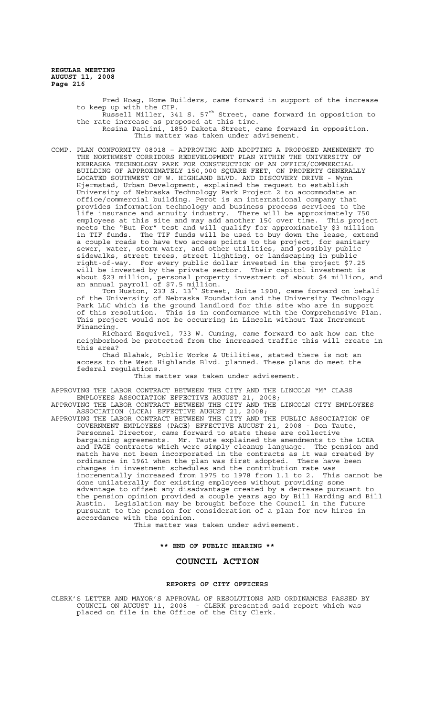> Fred Hoag, Home Builders, came forward in support of the increase to keep up with the CIP. p up with the eil.<br>Russell Miller, 341 S. 57<sup>th</sup> Street, came forward in opposition to the rate increase as proposed at this time.

Rosina Paolini, 1850 Dakota Street, came forward in opposition. This matter was taken under advisement.

COMP. PLAN CONFORMITY 08018 – APPROVING AND ADOPTING A PROPOSED AMENDMENT TO THE NORTHWEST CORRIDORS REDEVELOPMENT PLAN WITHIN THE UNIVERSITY OF NEBRASKA TECHNOLOGY PARK FOR CONSTRUCTION OF AN OFFICE/COMMERCIAL BUILDING OF APPROXIMATELY 150,000 SQUARE FEET, ON PROPERTY GENERALLY LOCATED SOUTHWEST OF W. HIGHLAND BLVD. AND DISCOVERY DRIVE - Wynn Hjermstad, Urban Development, explained the request to establish University of Nebraska Technology Park Project 2 to accommodate an office/commercial building. Perot is an international company that provides information technology and business process services to the life insurance and annuity industry. There will be approximately 750 employees at this site and may add another 150 over time. This project meets the "But For" test and will qualify for approximately \$3 million in TIF funds. The TIF funds will be used to buy down the lease, extend a couple roads to have two access points to the project, for sanitary sewer, water, storm water, and other utilities, and possibly public sidewalks, street trees, street lighting, or landscaping in public right-of-way. For every public dollar invested in the project \$7.25 will be invested by the private sector. Their capitol investment is about \$23 million, personal property investment of about \$4 million, and an annual payroll of \$7.5 million.

Tom Huston, 233 S. 13<sup>th</sup> Street, Suite 1900, came forward on behalf of the University of Nebraska Foundation and the University Technology Park LLC which is the ground landlord for this site who are in support of this resolution. This is in conformance with the Comprehensive Plan. This project would not be occurring in Lincoln without Tax Increment Financing.

Richard Esquivel, 733 W. Cuming, came forward to ask how can the neighborhood be protected from the increased traffic this will create in this area?

Chad Blahak, Public Works & Utilities, stated there is not an access to the West Highlands Blvd. planned. These plans do meet the federal regulations.

This matter was taken under advisement.

APPROVING THE LABOR CONTRACT BETWEEN THE CITY AND THE LINCOLN "M" CLASS EMPLOYEES ASSOCIATION EFFECTIVE AUGUST 21, 2008;

APPROVING THE LABOR CONTRACT BETWEEN THE CITY AND THE LINCOLN CITY EMPLOYEES ASSOCIATION (LCEA) EFFECTIVE AUGUST 21, 2008;

APPROVING THE LABOR CONTRACT BETWEEN THE CITY AND THE PUBLIC ASSOCIATION OF GOVERNMENT EMPLOYEES (PAGE) EFFECTIVE AUGUST 21, 2008 - Don Taute, Personnel Director, came forward to state these are collective bargaining agreements. Mr. Taute explained the amendments to the LCEA and PAGE contracts which were simply cleanup language. The pension and match have not been incorporated in the contracts as it was created by ordinance in 1961 when the plan was first adopted. There have been changes in investment schedules and the contribution rate was incrementally increased from 1975 to 1978 from 1.1 to 2. This cannot be done unilaterally for existing employees without providing some advantage to offset any disadvantage created by a decrease pursuant to the pension opinion provided a couple years ago by Bill Harding and Bill Austin. Legislation may be brought before the Council in the future pursuant to the pension for consideration of a plan for new hires in accordance with the opinion.

This matter was taken under advisement.

## **\*\* END OF PUBLIC HEARING \*\***

# **COUNCIL ACTION**

## **REPORTS OF CITY OFFICERS**

CLERK'S LETTER AND MAYOR'S APPROVAL OF RESOLUTIONS AND ORDINANCES PASSED BY COUNCIL ON AUGUST 11, 2008 - CLERK presented said report which was placed on file in the Office of the City Clerk.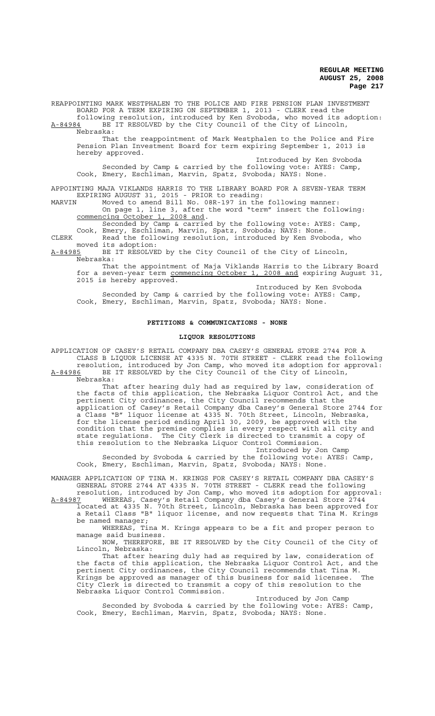REAPPOINTING MARK WESTPHALEN TO THE POLICE AND FIRE PENSION PLAN INVESTMENT BOARD FOR A TERM EXPIRING ON SEPTEMBER 1, 2013 - CLERK read the following resolution, introduced by Ken Svoboda, who moved its adoption:

A-84984 BE IT RESOLVED by the City Council of the City of Lincoln, Nebraska:

That the reappointment of Mark Westphalen to the Police and Fire Pension Plan Investment Board for term expiring September 1, 2013 is hereby approved.

Introduced by Ken Svoboda

Seconded by Camp & carried by the following vote: AYES: Camp, Cook, Emery, Eschliman, Marvin, Spatz, Svoboda; NAYS: None.

APPOINTING MAJA VIKLANDS HARRIS TO THE LIBRARY BOARD FOR A SEVEN-YEAR TERM EXPIRING AUGUST 31, 2015 - PRIOR to reading:

MARVIN Moved to amend Bill No. 08R-197 in the following manner: On page 1, line 3, after the word "term" insert the following: commencing October 1, 2008 and.

Seconded by Camp & carried by the following vote: AYES: Camp, Cook, Emery, Eschliman, Marvin, Spatz, Svoboda; NAYS: None.

CLERK Read the following resolution, introduced by Ken Svoboda, who moved its adoption:<br>A-84985 BE IT RESOLVE

BE IT RESOLVED by the City Council of the City of Lincoln, Nebraska:

That the appointment of Maja Viklands Harris to the Library Board for a seven-year term commencing October 1, 2008 and expiring August 31, 2015 is hereby approved.

Introduced by Ken Svoboda Seconded by Camp & carried by the following vote: AYES: Camp, Cook, Emery, Eschliman, Marvin, Spatz, Svoboda; NAYS: None.

## **PETITIONS & COMMUNICATIONS - NONE**

### **LIQUOR RESOLUTIONS**

APPLICATION OF CASEY'S RETAIL COMPANY DBA CASEY'S GENERAL STORE 2744 FOR A CLASS B LIQUOR LICENSE AT 4335 N. 70TH STREET - CLERK read the following resolution, introduced by Jon Camp, who moved its adoption for approval: A-84986 BE IT RESOLVED by the City Council of the City of Lincoln,

Nebraska:

That after hearing duly had as required by law, consideration of the facts of this application, the Nebraska Liquor Control Act, and the pertinent City ordinances, the City Council recommends that the application of Casey's Retail Company dba Casey's General Store 2744 for a Class "B" liquor license at 4335 N. 70th Street, Lincoln, Nebraska, for the license period ending April 30, 2009, be approved with the condition that the premise complies in every respect with all city and state regulations. The City Clerk is directed to transmit a copy of this resolution to the Nebraska Liquor Control Commission.

Introduced by Jon Camp Seconded by Svoboda & carried by the following vote: AYES: Camp, Cook, Emery, Eschliman, Marvin, Spatz, Svoboda; NAYS: None.

MANAGER APPLICATION OF TINA M. KRINGS FOR CASEY'S RETAIL COMPANY DBA CASEY'S GENERAL STORE 2744 AT 4335 N. 70TH STREET - CLERK read the following

resolution, introduced by Jon Camp, who moved its adoption for approval: A-84987 WHEREAS, Casey's Retail Company dba Casey's General Store 2744 located at 4335 N. 70th Street, Lincoln, Nebraska has been approved for a Retail Class "B" liquor license, and now requests that Tina M. Krings

be named manager; WHEREAS, Tina M. Krings appears to be a fit and proper person to manage said business.

NOW, THEREFORE, BE IT RESOLVED by the City Council of the City of Lincoln, Nebraska:

That after hearing duly had as required by law, consideration of the facts of this application, the Nebraska Liquor Control Act, and the pertinent City ordinances, the City Council recommends that Tina M.<br>Krings be approved as manager of this business for said licensee. The  $\bar{\text{k}}$ rings be approved as manager of this business for said licensee. City Clerk is directed to transmit a copy of this resolution to the Nebraska Liquor Control Commission.

Introduced by Jon Camp

Seconded by Svoboda & carried by the following vote: AYES: Camp, Cook, Emery, Eschliman, Marvin, Spatz, Svoboda; NAYS: None.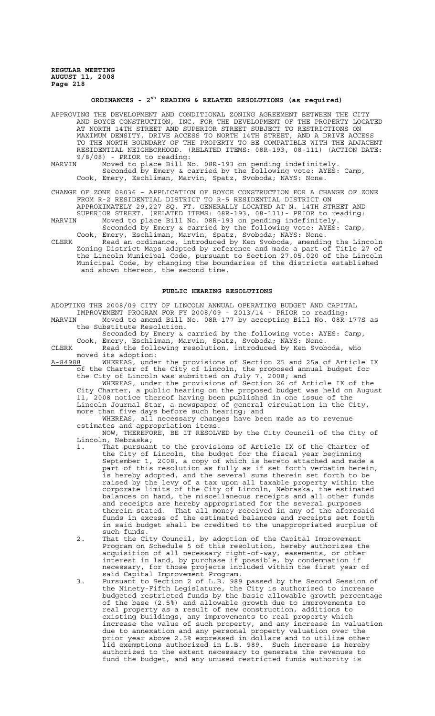# **ORDINANCES - 2ND READING & RELATED RESOLUTIONS (as required)**

APPROVING THE DEVELOPMENT AND CONDITIONAL ZONING AGREEMENT BETWEEN THE CITY AND BOYCE CONSTRUCTION, INC. FOR THE DEVELOPMENT OF THE PROPERTY LOCATED AT NORTH 14TH STREET AND SUPERIOR STREET SUBJECT TO RESTRICTIONS ON MAXIMUM DENSITY, DRIVE ACCESS TO NORTH 14TH STREET, AND A DRIVE ACCESS TO THE NORTH BOUNDARY OF THE PROPERTY TO BE COMPATIBLE WITH THE ADJACENT RESIDENTIAL NEIGHBORHOOD. (RELATED ITEMS: 08R-193, 08-111) (ACTION DATE: 9/8/08) - PRIOR to reading:<br>MARVIN Moved to place Bill N

- MARVIN Moved to place Bill No. 08R-193 on pending indefinitely. Seconded by Emery & carried by the following vote: AYES: Camp, Cook, Emery, Eschliman, Marvin, Spatz, Svoboda; NAYS: None.
- CHANGE OF ZONE 08036 APPLICATION OF BOYCE CONSTRUCTION FOR A CHANGE OF ZONE FROM R-2 RESIDENTIAL DISTRICT TO R-5 RESIDENTIAL DISTRICT ON APPROXIMATELY 29,227 SQ. FT. GENERALLY LOCATED AT N. 14TH STREET AND
- SUPERIOR STREET. (RELATED ITEMS: 08R-193, 08-111)- PRIOR to reading: MARVIN Moved to place Bill No. 08R-193 on pending indefinitely. Seconded by Emery & carried by the following vote: AYES: Camp,
- Cook, Emery, Eschliman, Marvin, Spatz, Svoboda; NAYS: None. CLERK Read an ordinance, introduced by Ken Svoboda, amending the Lincoln Zoning District Maps adopted by reference and made a part of Title 27 of the Lincoln Municipal Code, pursuant to Section 27.05.020 of the Lincoln Municipal Code, by changing the boundaries of the districts established and shown thereon, the second time.

### **PUBLIC HEARING RESOLUTIONS**

ADOPTING THE 2008/09 CITY OF LINCOLN ANNUAL OPERATING BUDGET AND CAPITAL IMPROVEMENT PROGRAM FOR FY 2008/09 - 2013/14 - PRIOR to reading:<br>MARVIN Moved to amend Bill No. 08R-177 by accepting Bill No. 08R-Moved to amend Bill No. 08R-177 by accepting Bill No. 08R-177S as the Substitute Resolution. Seconded by Emery & carried by the following vote: AYES: Camp, Cook, Emery, Eschliman, Marvin, Spatz, Svoboda; NAYS: None. CLERK Read the following resolution, introduced by Ken Svoboda, who moved its adoption:<br>A-84988 WHEREAS, under WHEREAS, under the provisions of Section 25 and 25a of Article IX of the Charter of the City of Lincoln, the proposed annual budget for the City of Lincoln was submitted on July 7, 2008; and WHEREAS, under the provisions of Section 26 of Article IX of the City Charter, a public hearing on the proposed budget was held on August 11, 2008 notice thereof having been published in one issue of the Lincoln Journal Star, a newspaper of general circulation in the City, more than five days before such hearing; and WHEREAS, all necessary changes have been made as to revenue estimates and appropriation items. NOW, THEREFORE, BE IT RESOLVED by the City Council of the City of Lincoln, Nebraska; 1. That pursuant to the provisions of Article IX of the Charter of the City of Lincoln, the budget for the fiscal year beginning September 1, 2008, a copy of which is hereto attached and made a part of this resolution as fully as if set forth verbatim herein, is hereby adopted, and the several sums therein set forth to be raised by the levy of a tax upon all taxable property within the corporate limits of the City of Lincoln, Nebraska, the estimated balances on hand, the miscellaneous receipts and all other funds

- and receipts are hereby appropriated for the several purposes therein stated. That all money received in any of the aforesaid funds in excess of the estimated balances and receipts set forth in said budget shall be credited to the unappropriated surplus of such funds. 2. That the City Council, by adoption of the Capital Improvement
	- Program on Schedule 5 of this resolution, hereby authorizes the acquisition of all necessary right-of-way, easements, or other interest in land, by purchase if possible, by condemnation if necessary, for those projects included within the first year of said Capital Improvement Program.
- 3. Pursuant to Section 2 of L.B. 989 passed by the Second Session of the Ninety-Fifth Legislature, the City is authorized to increase budgeted restricted funds by the basic allowable growth percentage of the base (2.5%) and allowable growth due to improvements to real property as a result of new construction, additions to existing buildings, any improvements to real property which increase the value of such property, and any increase in valuation due to annexation and any personal property valuation over the prior year above 2.5% expressed in dollars and to utilize other lid exemptions authorized in L.B. 989. Such increase is hereby authorized to the extent necessary to generate the revenues to fund the budget, and any unused restricted funds authority is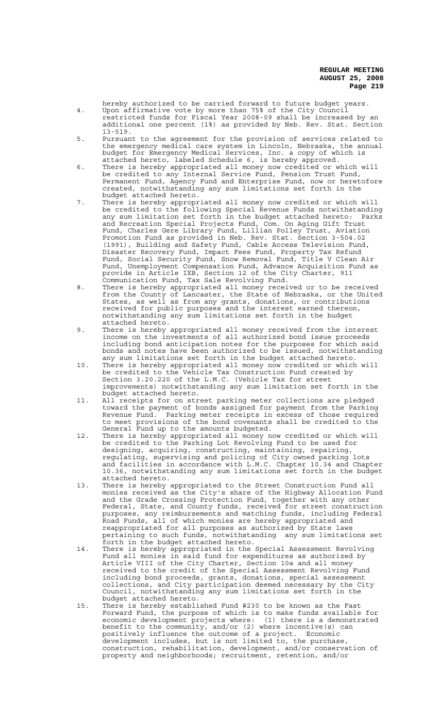- hereby authorized to be carried forward to future budget years. 4. Upon affirmative vote by more than 75% of the City Council restricted funds for Fiscal Year 2008-09 shall be increased by an
- additional one percent (1%) as provided by Neb. Rev. Stat. Section 13-519. 5. Pursuant to the agreement for the provision of services related to
	- the emergency medical care system in Lincoln, Nebraska, the annual budget for Emergency Medical Services, Inc. a copy of which is attached hereto, labeled Schedule 6, is hereby approved.
	- 6. There is hereby appropriated all money now credited or which will be credited to any Internal Service Fund, Pension Trust Fund, Permanent Fund, Agency Fund and Enterprise Fund, now or heretofore created, notwithstanding any sum limitations set forth in the budget attached hereto.
- 7. There is hereby appropriated all money now credited or which will be credited to the following Special Revenue Funds notwithstanding any sum limitation set forth in the budget attached hereto: Parks and Recreation Special Projects Fund, Com. On Aging Gift Trust Fund, Charles Gere Library Fund, Lillian Polley Trust, Aviation Promotion Fund as provided in Neb. Rev. Stat. Section 3-504.02 (1991), Building and Safety Fund, Cable Access Television Fund, Disaster Recovery Fund, Impact Fees Fund, Property Tax Refund Fund, Social Security Fund, Snow Removal Fund, Title V Clean Air Fund, Unemployment Compensation Fund, Advance Acquisition Fund as provide in Article IXB, Section 12 of the City Charter, 911 Communication Fund, Tax Sale Revolving Fund.
	- 8. There is hereby appropriated all money received or to be received from the County of Lancaster, the State of Nebraska, or the United States, as well as from any grants, donations, or contributions received for public purposes and the interest earned thereon, notwithstanding any sum limitations set forth in the budget attached hereto.
	- 9. There is hereby appropriated all money received from the interest income on the investments of all authorized bond issue proceeds including bond anticipation notes for the purposes for which said bonds and notes have been authorized to be issued, notwithstanding any sum limitations set forth in the budget attached hereto.
	- 10. There is hereby appropriated all money now credited or which will be credited to the Vehicle Tax Construction Fund created by Section 3.20.220 of the L.M.C. (Vehicle Tax for street improvements) notwithstanding any sum limitation set forth in the budget attached hereto.
	- 11. All receipts for on street parking meter collections are pledged toward the payment of bonds assigned for payment from the Parking Revenue Fund. Parking meter receipts in excess of those required to meet provisions of the bond covenants shall be credited to the General Fund up to the amounts budgeted.
	- 12. There is hereby appropriated all money now credited or which will be credited to the Parking Lot Revolving Fund to be used for designing, acquiring, constructing, maintaining, repairing, regulating, supervising and policing of City owned parking lots and facilities in accordance with L.M.C. Chapter 10.34 and Chapter 10.36, notwithstanding any sum limitations set forth in the budget attached hereto.
	- 13. There is hereby appropriated to the Street Construction Fund all monies received as the City's share of the Highway Allocation Fund and the Grade Crossing Protection Fund, together with any other Federal, State, and County funds, received for street construction purposes, any reimbursements and matching funds, including Federal Road Funds, all of which monies are hereby appropriated and reappropriated for all purposes as authorized by State laws pertaining to such funds, notwithstanding any sum limitations set forth in the budget attached hereto.
	- 14. There is hereby appropriated in the Special Assessment Revolving Fund all monies in said fund for expenditures as authorized by Article VIII of the City Charter, Section 10a and all money received to the credit of the Special Assessment Revolving Fund including bond proceeds, grants, donations, special assessment collections, and City participation deemed necessary by the City Council, notwithstanding any sum limitations set forth in the budget attached hereto.
	- 15. There is hereby established Fund #230 to be known as the Fast Forward Fund, the purpose of which is to make funds available for economic development projects where: (1) there is a demonstrated benefit to the community, and/or (2) where incentive(s) can positively influence the outcome of a project. Economic development includes, but is not limited to, the purchase, construction, rehabilitation, development, and/or conservation of property and neighborhoods; recruitment, retention, and/or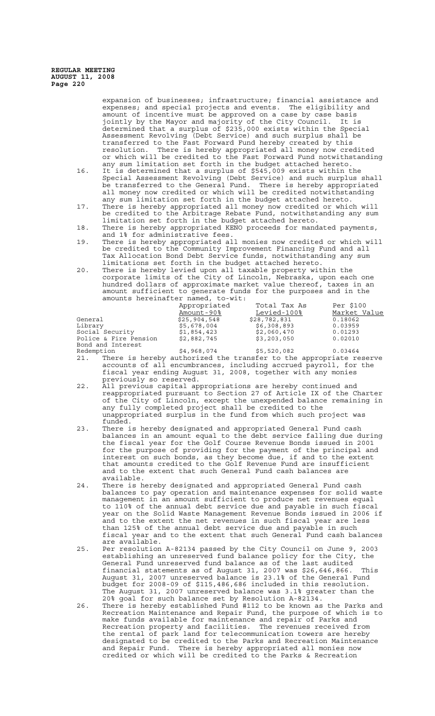> expansion of businesses; infrastructure; financial assistance and expenses; and special projects and events. The eligibility and amount of incentive must be approved on a case by case basis jointly by the Mayor and majority of the City Council. It is determined that a surplus of \$235,000 exists within the Special Assessment Revolving (Debt Service) and such surplus shall be transferred to the Fast Forward Fund hereby created by this resolution. There is hereby appropriated all money now credited or which will be credited to the Fast Forward Fund notwithstanding any sum limitation set forth in the budget attached hereto.

- 16. It is determined that a surplus of \$545,009 exists within the Special Assessment Revolving (Debt Service) and such surplus shall be transferred to the General Fund. There is hereby appropriated all money now credited or which will be credited notwithstanding any sum limitation set forth in the budget attached hereto.
- 17. There is hereby appropriated all money now credited or which will be credited to the Arbitrage Rebate Fund, notwithstanding any sum limitation set forth in the budget attached hereto.
- 18. There is hereby appropriated KENO proceeds for mandated payments, and 1% for administrative fees.
- 19. There is hereby appropriated all monies now credited or which will be credited to the Community Improvement Financing Fund and all Tax Allocation Bond Debt Service funds, notwithstanding any sum limitations set forth in the budget attached hereto.
- 20. There is hereby levied upon all taxable property within the corporate limits of the City of Lincoln, Nebraska, upon each one hundred dollars of approximate market value thereof, taxes in an amount sufficient to generate funds for the purposes and in the amounts hereinafter named, to-wit:

|                       | Appropriated<br>Amount-90% | Total Tax As<br>Levied-100% | Per \$100<br>Market Value |
|-----------------------|----------------------------|-----------------------------|---------------------------|
|                       |                            |                             |                           |
| General               | \$25,904,548               | \$28,782,831                | 0.18062                   |
| Library               | \$5,678,004                | \$6,308,893                 | 0.03959                   |
| Social Security       | \$1,854,423                | \$2,060,470                 | 0.01293                   |
| Police & Fire Pension | \$2,882,745                | \$3,203,050                 | 0.02010                   |
| Bond and Interest     |                            |                             |                           |
|                       | .                          | .                           |                           |

- Redemption \$4,968,074 \$5,520,082 0.03464 21. There is hereby authorized the transfer to the appropriate reserve accounts of all encumbrances, including accrued payroll, for the fiscal year ending August 31, 2008, together with any monies previously so reserved.
- 22. All previous capital appropriations are hereby continued and reappropriated pursuant to Section 27 of Article IX of the Charter of the City of Lincoln, except the unexpended balance remaining in any fully completed project shall be credited to the unappropriated surplus in the fund from which such project was funded.
- 23. There is hereby designated and appropriated General Fund cash balances in an amount equal to the debt service falling due during the fiscal year for the Golf Course Revenue Bonds issued in 2001 for the purpose of providing for the payment of the principal and interest on such bonds, as they become due, if and to the extent that amounts credited to the Golf Revenue Fund are insufficient and to the extent that such General Fund cash balances are available.
- 24. There is hereby designated and appropriated General Fund cash balances to pay operation and maintenance expenses for solid waste management in an amount sufficient to produce net revenues equal to 110% of the annual debt service due and payable in such fiscal year on the Solid Waste Management Revenue Bonds issued in 2006 if and to the extent the net revenues in such fiscal year are less than 125% of the annual debt service due and payable in such fiscal year and to the extent that such General Fund cash balances are available.
- 25. Per resolution A-82134 passed by the City Council on June 9, 2003 establishing an unreserved fund balance policy for the City, the General Fund unreserved fund balance as of the last audited financial statements as of August 31, 2007 was \$26,646,866. This August 31, 2007 unreserved balance is 23.1% of the General Fund budget for 2008-09 of \$115,486,686 included in this resolution. The August 31, 2007 unreserved balance was 3.1% greater than the 20% goal for such balance set by Resolution A-82134.
- 26. There is hereby established Fund #112 to be known as the Parks and Recreation Maintenance and Repair Fund, the purpose of which is to make funds available for maintenance and repair of Parks and Recreation property and facilities. The revenues received from the rental of park land for telecommunication towers are hereby designated to be credited to the Parks and Recreation Maintenance and Repair Fund. There is hereby appropriated all monies now credited or which will be credited to the Parks & Recreation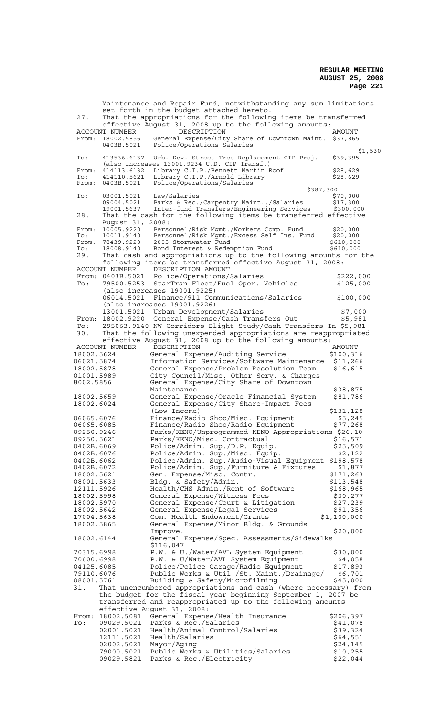Maintenance and Repair Fund, notwithstanding any sum limitations set forth in the budget attached hereto. 27. That the appropriations for the following items be transferred effective August 31, 2008 up to the following amounts: ACCOUNT NUMBER DESCRIPTION AMOUNT From: 18002.5856 General Expense/City Share of Downtown Maint. \$37,865 0403B.5021 Police/Operations Salaries \$1,530<br>\$39,395 To: 413536.6137 Urb. Dev. Street Tree Replacement CIP Proj. (also increases 13001.9234 U.D. CIP Transf.) From: 414113.6132 Library C.I.P./Bennett Martin Roof \$28,629 To: 414110.5621 Library C.I.P./Arnold Library \$28,629 From: 0403B.5021 Police/Operations/Salaries \$387,300<br>\$70,000 To: 03001.5021 Law/Salaries<br>09004.5021 Parks & Rec./Carpentry Maint../Salaries \$17,300 Parks & Rec./Carpentry Maint../Salaries 19001.5637 Inter-fund Transfers/Engineering Services \$300,000 28. That the cash for the following items be transferred effective August 31, 2008:<br>10005.9220 Perso From: 10005.9220 Personnel/Risk Mgmt./Workers Comp. Fund \$20,000<br>To: 10011.9140 Personnel/Risk Mgmt./Excess Self Ins. Fund \$20,000 10011.9140 Personnel/Risk Mgmt./Excess Self Ins. Fund<br>78439.9220 2005 Stormwater Fund From: 78439.9220 2005 Stormwater Fund \$610,000 To: 18008.9140 Bond Interest & Redemption Fund \$610,000 29. That cash and appropriations up to the following amounts for the following items be transferred effective August 31, 2008: ACCOUNT NUMBER DESCRIPTION AMOUNT<br>From: 0403B.5021 Police/Operations/Salaries From: 0403B.5021 Police/Operations/Salaries \$222,000 To: 79500.5253 StarTran Fleet/Fuel Oper. Vehicles \$125,000 (also increases 19001.9225) 06014.5021 Finance/911 Communications/Salaries \$100,000 (also increases 19001.9226) 13001.5021 Urban Development/Salaries \$7,000 From: 18002.9220 General Expense/Cash Transfers Out \$5,981 To: 295063.9140 NW Corridors Blight Study/Cash Transfers In \$5,981 30. That the following unexpended appropriations are reappropriated effective August 31, 2008 up to the following amounts:<br>IT NUMBER DESCRIPTION AMOUNT ACCOUNT NUMBER DESCRIPTION (ACCOUNT NUMBER DESCRIPTION)<br>19002.5624 General Expense/Auditing Service (\$100,316) 18002.5624 General Expense/Auditing Service \$100,316 06021.5874 Information Services/Software Maintenance \$11,266 18002.5878 General Expense/Problem Resolution Team \$16,615 01001.5989 City Council/Misc. Other Serv. & Charges 8002.5856 General Expense/City Share of Downtown Maintenance \$38,875 18002.5659 General Expense/Oracle Financial System \$81,786 18002.6024 General Expense/City Share-Impact Fees (Low Income)<br>Finance/Radio Shop/Misc. Equipment \$5,245<br>Finance/Radio Shop/Radio Equipment \$77,268 06065.6076 Finance/Radio Shop/Misc. Equipment<br>06065.6085 Finance/Radio Shop/Radio Equipment 06065.6085 Finance/Radio Shop/Radio Equipment<br>09250.9246 Parks/KENO/Unprogrammed KENO Approp 09250.9246 Parks/KENO/Unprogrammed KENO Appropriations \$26.10<br>09250.5621 Parks/KENO/Misc. Contractual \$16,571 09250.5621 Parks/KENO/Misc. Contractual<br>0402B.6069 Police/Admin. Sup./D.P. Equip 0402B.6069 Police/Admin. Sup./D.P. Equip. \$25,509 0402B.6076 Police/Admin. Sup./Misc. Equip. \$2,122 0402B.6062 Police/Admin. Sup./Audio-Visual Equipment \$198,578 0402B.6072 Police/Admin. Sup./Furniture & Fixtures \$1,877<br>18002.5621 Gen. Expense/Misc. Contr. \$171,263 18002.5621 Gen. Expense/Misc. Contr. \$171,263 08001.5633 Bldg. & Safety/Admin. \$113,548 12111.5926 Health/CHS Admin./Rent of Software \$168,965 18002.5998 General Expense/Witness Fees \$30,277 18002.5970 General Expense/Court & Litigation \$27,239 18002.5642 General Expense/Legal Services \$91,356 18002.5642 General Expense/Legal Services \$91,356<br>17004.5638 Com. Health Endowment/Grants \$1,100,000<br>18002.5865 General Expense/Minor Bldg. & Grounds General Expense/Minor Bldg. & Grounds Improve. 520,000 18002.6144 General Expense/Spec. Assessments/Sidewalks \$116,047 70315.6998 P.W. & U./Water/AVL System Equipment \$30,000 70600.6998 P.W. & U/Water/AVL System Equipment \$4,058 04125.6085 Police/Police Garage/Radio Equipment \$17,893 79110.6076 Public Works & Util./St. Maint./Drainage/ \$6,701 08001.5761 Building & Safety/Microfilming \$45,000 31. That unencumbered appropriations and cash (where necessary) from the budget for the fiscal year beginning September 1, 2007 be transferred and reappropriated up to the following amounts effective August 31, 2008: From: 18002.5081 General Expense/Health Insurance \$206,397 To: 09029.5021 Parks & Rec./Salaries<br>02001.5021 Health/Animal Control/Salaries \$39,324 02001.5021 Health/Animal Control/Salaries \$39,324<br>12111.5021 Health/Salaries \$64,551 Health/Salaries 02002.5021 Mayor/Aging<br>79000.5021 Public Works & Utilities/Salaries \$10,255 79000.5021 Public Works & Utilities/Salaries \$10,255<br>09029.5821 Parks & Rec./Electricity \$22,044 Parks & Rec./Electricity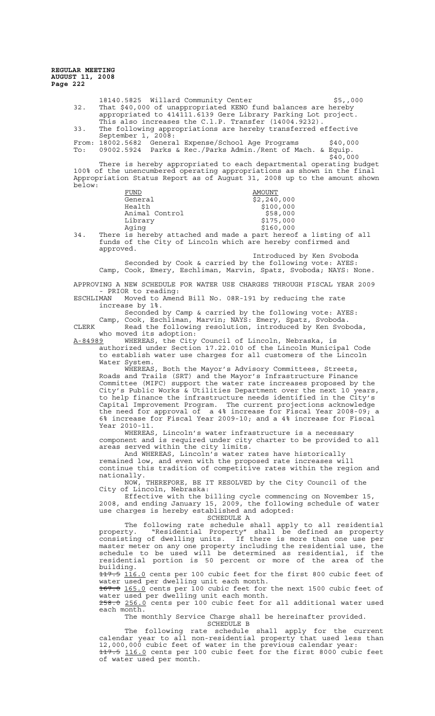> 18140.5825 Willard Community Center  $$5,000$ 32. That \$40,000 of unappropriated KENO fund balances are hereby appropriated to 414111.6139 Gere Library Parking Lot project. This also increases the C.l.P. Transfer (14004.9232). 33. The following appropriations are hereby transferred effective September 1, 2008: From: 18002.5682 General Expense/School Age Programs \$40,000 To: 09002.5924 Parks & Rec./Parks Admin./Rent of Mach. & Equip. \$40,000 There is hereby appropriated to each departmental operating budget 100% of the unencumbered operating appropriations as shown in the final Appropriation Status Report as of August 31, 2008 up to the amount shown below: FUND AMOUNT General  $\frac{1}{52,240}$ ,000 Health  $$100,000$ Animal Control  $$58,000$ Animal Concrete<br>Library \$175,000<br>\$160,000 Aging \$160,000 34. There is hereby attached and made a part hereof a listing of all funds of the City of Lincoln which are hereby confirmed and approved. Introduced by Ken Svoboda Seconded by Cook & carried by the following vote: AYES: Camp, Cook, Emery, Eschliman, Marvin, Spatz, Svoboda; NAYS: None. APPROVING A NEW SCHEDULE FOR WATER USE CHARGES THROUGH FISCAL YEAR 2009 PRIOR to reading: ESCHLIMAN Moved to Amend Bill No. 08R-191 by reducing the rate increase by 1%. Seconded by Camp & carried by the following vote: AYES: Camp, Cook, Eschliman, Marvin; NAYS: Emery, Spatz, Svoboda. CLERK Read the following resolution, introduced by Ken Svoboda,

who moved its adoption:

A-84989 WHEREAS, the City Council of Lincoln, Nebraska, is authorized under Section 17.22.010 of the Lincoln Municipal Code to establish water use charges for all customers of the Lincoln Water System.<br>WHEREAS,

Both the Mayor's Advisory Committees, Streets, Roads and Trails (SRT) and the Mayor's Infrastructure Finance Committee (MIFC) support the water rate increases proposed by the City's Public Works & Utilities Department over the next 10 years, to help finance the infrastructure needs identified in the City's Capital Improvement Program. The current projections acknowledge the need for approval of a 4% increase for Fiscal Year 2008-09; a 6% increase for Fiscal Year 2009-10; and a 4% increase for Fiscal Year 2010-11.

WHEREAS, Lincoln's water infrastructure is a necessary component and is required under city charter to be provided to all areas served within the city limits.

And WHEREAS, Lincoln's water rates have historically remained low, and even with the proposed rate increases will continue this tradition of competitive rates within the region and nationally.

NOW, THEREFORE, BE IT RESOLVED by the City Council of the City of Lincoln, Nebraska:

Effective with the billing cycle commencing on November 15, 2008, and ending January 15, 2009, the following schedule of water use charges is hereby established and adopted:

SCHEDULE A

The following rate schedule shall apply to all residential property. "Residential Property" shall be defined as property property. Accreamental risperty consisting of dwelling units. If there is more than one use per master meter on any one property including the residential use, the schedule to be used will be determined as residential, if the residential portion is 50 percent or more of the area of the building.

117.5 116.0 cents per 100 cubic feet for the first 800 cubic feet of water used per dwelling unit each month.

167.0 165.0 cents per 100 cubic feet for the next 1500 cubic feet of water used per dwelling unit each month.

258.0 256.0 cents per 100 cubic feet for all additional water used each month.

The monthly Service Charge shall be hereinafter provided.<br>SCHEDULE B SCHEDULE B

The following rate schedule shall apply for the current calendar year to all non-residential property that used less than 12,000,000 cubic feet of water in the previous calendar year: 117.5 116.0 cents per 100 cubic feet for the first 8000 cubic feet of water used per month.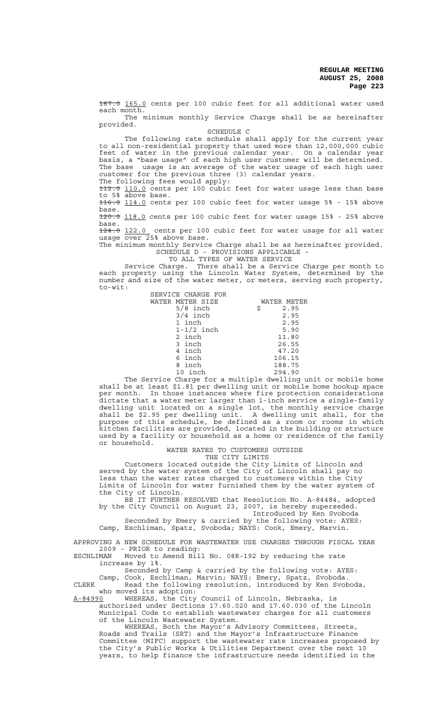167.0 165.0 cents per 100 cubic feet for all additional water used each month.

The minimum monthly Service Charge shall be as hereinafter provided.

SCHEDULE C

The following rate schedule shall apply for the current year to all non-residential property that used more than 12,000,000 cubic feet of water in the previous calendar year. On a calendar year basis, a "base usage" of each high user customer will be determined. The base usage is an average of the water usage of each high user customer for the previous three (3) calendar years.

The following fees would apply:

112.0 110.0 cents per 100 cubic feet for water usage less than base to 5% above base. 116.0 114.0 cents per 100 cubic feet for water usage 5% - 15% above

base. 120.0 118.0 cents per 100 cubic feet for water usage 15% - 25% above

base. 124.0 122.0 cents per 100 cubic feet for water usage for all water

usage over 25% above base.

The minimum monthly Service Charge shall be as hereinafter provided. SCHEDULE D - PROVISIONS APPLICABLE -

TO ALL TYPES OF WATER SERVICE<br>TO ALL TYPES OF WATER SERVICE<br>arge. There shall be a Service Charge per month to Service Charge. There shall be a Service Charge per month to each property using the Lincoln Water System, determined by the number and size of the water meter, or meters, serving such property, to-wit:

| SERVICE CHARGE FOR |             |
|--------------------|-------------|
| WATER METER SIZE   | WATER METER |
| $5/8$ inch         | 2.95<br>\$  |
| $3/4$ inch         | 2.95        |
| 1 inch             | 2.95        |
| $1-1/2$ inch       | 5.90        |
| 2 inch             | 11.80       |
| 3 inch             | 26.55       |
| 4 inch             | 47.20       |
| 6 inch             | 106.15      |
| 8 inch             | 188.75      |
| 10 inch            | 294.90      |

The Service Charge for a multiple dwelling unit or mobile home shall be at least \$1.81 per dwelling unit or mobile home hookup space per month. In those instances where fire protection considerations dictate that a water meter larger than 1-inch service a single-family dwelling unit located on a single lot, the monthly service charge shall be \$2.95 per dwelling unit. A dwelling unit shall, for the purpose of this schedule, be defined as a room or rooms in which kitchen facilities are provided, located in the building or structure used by a facility or household as a home or residence of the family or household.

 WATER RATES TO CUSTOMERS OUTSIDE THE CITY LIMITS

Customers located outside the City Limits of Lincoln and served by the water system of the City of Lincoln shall pay no less than the water rates charged to customers within the City Limits of Lincoln for water furnished them by the water system of the City of Lincoln.

BE IT FURTHER RESOLVED that Resolution No. A-84484, adopted by the City Council on August 23, 2007, is hereby superseded. Introduced by Ken Svoboda

Seconded by Emery & carried by the following vote: AYES: Camp, Eschliman, Spatz, Svoboda; NAYS: Cook, Emery, Marvin.

APPROVING A NEW SCHEDULE FOR WASTEWATER USE CHARGES THROUGH FISCAL YEAR 2009 - PRIOR to reading:

ESCHLIMAN Moved to Amend Bill No. 08R-192 by reducing the rate increase by 1%.

Seconded by Camp & carried by the following vote: AYES: Camp, Cook, Eschliman, Marvin; NAYS: Emery, Spatz, Svoboda. CLERK Read the following resolution, introduced by Ken Svoboda,

who moved its adoption:<br>A-84990 WHEREAS, the City

A-84990 WHEREAS, the City Council of Lincoln, Nebraska, is authorized under Sections 17.60.020 and 17.60.030 of the Lincoln Municipal Code to establish wastewater charges for all customers of the Lincoln Wastewater System.

WHEREAS, Both the Mayor's Advisory Committees, Streets, Roads and Trails (SRT) and the Mayor's Infrastructure Finance Committee (MIFC) support the wastewater rate increases proposed by the City's Public Works & Utilities Department over the next 10 years, to help finance the infrastructure needs identified in the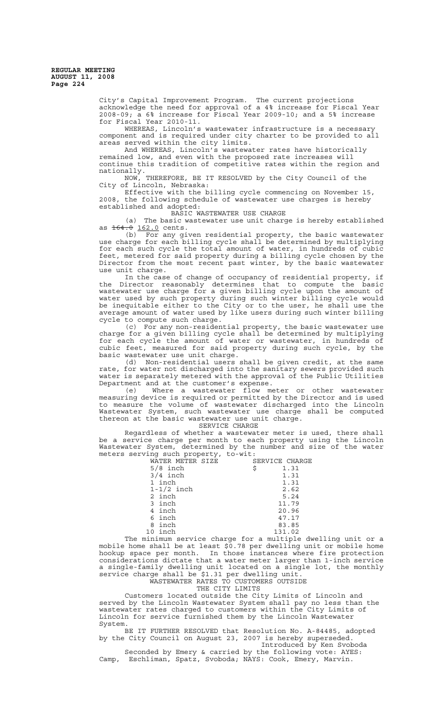> City's Capital Improvement Program. The current projections acknowledge the need for approval of a 4% increase for Fiscal Year 2008-09; a 6% increase for Fiscal Year 2009-10; and a 5% increase for Fiscal Year 2010-11.

> WHEREAS, Lincoln's wastewater infrastructure is a necessary component and is required under city charter to be provided to all areas served within the city limits.

> And WHEREAS, Lincoln's wastewater rates have historically remained low, and even with the proposed rate increases will continue this tradition of competitive rates within the region and nationally.

NOW, THEREFORE, BE IT RESOLVED by the City Council of the City of Lincoln, Nebraska:

City of Lincoln, Nebraska:<br>Effective with the billing cycle commencing on November 15, 2008, the following schedule of wastewater use charges is hereby established and adopted:

BASIC WASTEWATER USE CHARGE

(a) The basic wastewater use unit charge is hereby established as 164.0 162.0 cents.

(b) For any given residential property, the basic wastewater use charge for each billing cycle shall be determined by multiplying for each such cycle the total amount of water, in hundreds of cubic feet, metered for said property during a billing cycle chosen by the Director from the most recent past winter, by the basic wastewater use unit charge.

In the case of change of occupancy of residential property, if the Director reasonably determines that to compute the basic wastewater use charge for a given billing cycle upon the amount of water used by such property during such winter billing cycle would be inequitable either to the City or to the user, he shall use the average amount of water used by like users during such winter billing cycle to compute such charge.

(c) For any non-residential property, the basic wastewater use charge for a given billing cycle shall be determined by multiplying for each cycle the amount of water or wastewater, in hundreds of cubic feet, measured for said property during such cycle, by the basic wastewater use unit charge.

(d) Non-residential users shall be given credit, at the same rate, for water not discharged into the sanitary sewers provided such water is separately metered with the approval of the Public Utilities Department and at the customer's expense.

(e) Where a wastewater flow meter or other wastewater measuring device is required or permitted by the Director and is used to measure the volume of wastewater discharged into the Lincoln Wastewater System, such wastewater use charge shall be computed thereon at the basic wastewater use unit charge.

SERVICE CHARGE

Regardless of whether a wastewater meter is used, there shall be a service charge per month to each property using the Lincoln Wastewater System, determined by the number and size of the water meters serving such property, to-wit:

| $- - - - - - - - -$ |                |
|---------------------|----------------|
| WATER METER SIZE    | SERVICE CHARGE |
| $5/8$ inch          | \$<br>1.31     |
| $3/4$ inch          | 1.31           |
| 1 inch              | 1.31           |
| $1-1/2$ inch        | 2.62           |
| 2 inch              | 5.24           |
| 3 inch              | 11.79          |
| 4 inch              | 20.96          |
| 6 inch              | 47.17          |
| 8 inch              | 83.85          |
| 10 inch             | 131.02         |
|                     |                |

The minimum service charge for a multiple dwelling unit or a mobile home shall be at least \$0.78 per dwelling unit or mobile home hookup space per month. In those instances where fire protection considerations dictate that a water meter larger than 1-inch service a single-family dwelling unit located on a single lot, the monthly service charge shall be \$1.31 per dwelling unit.

WASTEWATER RATES TO CUSTOMERS OUTSIDE

THE CITY LIMITS

Customers located outside the City Limits of Lincoln and served by the Lincoln Wastewater System shall pay no less than the wastewater rates charged to customers within the City Limits of Lincoln for service furnished them by the Lincoln Wastewater System.

BE IT FURTHER RESOLVED that Resolution No. A-84485, adopted by the City Council on August 23, 2007 is hereby superseded. Introduced by Ken Svoboda

Seconded by Emery & carried by the following vote: AYES: Camp, Eschliman, Spatz, Svoboda; NAYS: Cook, Emery, Marvin.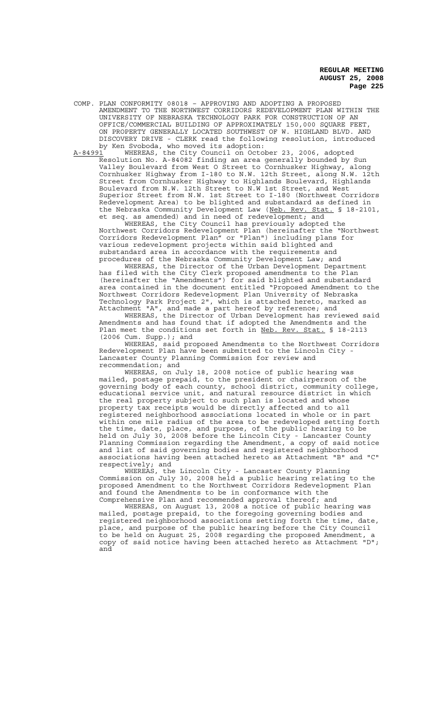COMP. PLAN CONFORMITY 08018 – APPROVING AND ADOPTING A PROPOSED AMENDMENT TO THE NORTHWEST CORRIDORS REDEVELOPMENT PLAN WITHIN THE UNIVERSITY OF NEBRASKA TECHNOLOGY PARK FOR CONSTRUCTION OF AN OFFICE/COMMERCIAL BUILDING OF APPROXIMATELY 150,000 SQUARE FEET, ON PROPERTY GENERALLY LOCATED SOUTHWEST OF W. HIGHLAND BLVD. AND DISCOVERY DRIVE - CLERK read the following resolution, introduced by Ken Svoboda, who moved its adoption:

A-84991 WHEREAS, the City Council on October 23, 2006, adopted Resolution No. A-84082 finding an area generally bounded by Sun Valley Boulevard from West O Street to Cornhusker Highway, along Cornhusker Highway from I-180 to N.W. 12th Street, along N.W. 12th Street from Cornhusker Highway to Highlands Boulevard, Highlands Boulevard from N.W. 12th Street to N.W 1st Street, and West Superior Street from N.W. 1st Street to I-180 (Northwest Corridors Redevelopment Area) to be blighted and substandard as defined in the Nebraska Community Development Law (Neb. Rev. Stat. § 18-2101, et seq. as amended) and in need of redevelopment; and

WHEREAS, the City Council has previously adopted the Northwest Corridors Redevelopment Plan (hereinafter the "Northwest Corridors Redevelopment Plan" or "Plan") including plans for various redevelopment projects within said blighted and substandard area in accordance with the requirements and procedures of the Nebraska Community Development Law; and

WHEREAS, the Director of the Urban Development Department has filed with the City Clerk proposed amendments to the Plan (hereinafter the "Amendments") for said blighted and substandard area contained in the document entitled "Proposed Amendment to the Northwest Corridors Redevelopment Plan University of Nebraska Technology Park Project 2", which is attached hereto, marked as Attachment "A", and made a part hereof by reference; and

WHEREAS, the Director of Urban Development has reviewed said Amendments and has found that if adopted the Amendments and the Plan meet the conditions set forth in Neb. Rev. Stat. § 18-2113 (2006 Cum. Supp.); and

WHEREAS, said proposed Amendments to the Northwest Corridors Redevelopment Plan have been submitted to the Lincoln City - Lancaster County Planning Commission for review and recommendation; and

WHEREAS, on July 18, 2008 notice of public hearing was mailed, postage prepaid, to the president or chairperson of the governing body of each county, school district, community college, educational service unit, and natural resource district in which the real property subject to such plan is located and whose property tax receipts would be directly affected and to all registered neighborhood associations located in whole or in part within one mile radius of the area to be redeveloped setting forth the time, date, place, and purpose, of the public hearing to be held on July 30, 2008 before the Lincoln City - Lancaster County Planning Commission regarding the Amendment, a copy of said notice and list of said governing bodies and registered neighborhood associations having been attached hereto as Attachment "B" and "C" respectively; and

WHEREAS, the Lincoln City - Lancaster County Planning Commission on July 30, 2008 held a public hearing relating to the proposed Amendment to the Northwest Corridors Redevelopment Plan and found the Amendments to be in conformance with the Comprehensive Plan and recommended approval thereof; and

WHEREAS, on August 13, 2008 a notice of public hearing was mailed, postage prepaid, to the foregoing governing bodies and registered neighborhood associations setting forth the time, date, place, and purpose of the public hearing before the City Council to be held on August 25, 2008 regarding the proposed Amendment, a copy of said notice having been attached hereto as Attachment "D"; and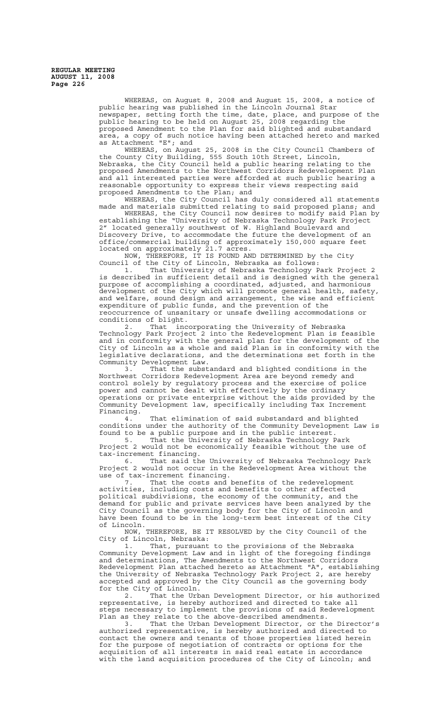> WHEREAS, on August 8, 2008 and August 15, 2008, a notice of public hearing was published in the Lincoln Journal Star newspaper, setting forth the time, date, place, and purpose of the public hearing to be held on August 25, 2008 regarding the proposed Amendment to the Plan for said blighted and substandard area, a copy of such notice having been attached hereto and marked as Attachment "E"; and

> WHEREAS, on August 25, 2008 in the City Council Chambers of the County City Building, 555 South 10th Street, Lincoln, Nebraska, the City Council held a public hearing relating to the proposed Amendments to the Northwest Corridors Redevelopment Plan and all interested parties were afforded at such public hearing a reasonable opportunity to express their views respecting said proposed Amendments to the Plan; and

WHEREAS, the City Council has duly considered all statements made and materials submitted relating to said proposed plans; and

WHEREAS, the City Council now desires to modify said Plan by establishing the "University of Nebraska Technology Park Project 2" located generally southwest of W. Highland Boulevard and Discovery Drive, to accommodate the future the development of an office/commercial building of approximately 150,000 square feet located on approximately 21.7 acres.

NOW, THEREFORE, IT IS FOUND AND DETERMINED by the City Council of the City of Lincoln, Nebraska as follows:

1. That University of Nebraska Technology Park Project 2 is described in sufficient detail and is designed with the general purpose of accomplishing a coordinated, adjusted, and harmonious development of the City which will promote general health, safety, and welfare, sound design and arrangement, the wise and efficient expenditure of public funds, and the prevention of the reoccurrence of unsanitary or unsafe dwelling accommodations or conditions of blight.<br>2. That inc

That incorporating the University of Nebraska Technology Park Project 2 into the Redevelopment Plan is feasible and in conformity with the general plan for the development of the City of Lincoln as a whole and said Plan is in conformity with the legislative declarations, and the determinations set forth in the Community Development Law.<br>3. That the subst

That the substandard and blighted conditions in the Northwest Corridors Redevelopment Area are beyond remedy and control solely by regulatory process and the exercise of police power and cannot be dealt with effectively by the ordinary operations or private enterprise without the aids provided by the Community Development law, specifically including Tax Increment Financing.

4. That elimination of said substandard and blighted conditions under the authority of the Community Development Law is found to be a public purpose and in the public interest.

5. That the University of Nebraska Technology Park Project 2 would not be economically feasible without the use of tax-increment financing.

6. That said the University of Nebraska Technology Park Project 2 would not occur in the Redevelopment Area without the use of tax-increment financing.

7. That the costs and benefits of the redevelopment activities, including costs and benefits to other affected political subdivisions, the economy of the community, and the demand for public and private services have been analyzed by the City Council as the governing body for the City of Lincoln and have been found to be in the long-term best interest of the City of Lincoln.

NOW, THEREFORE, BE IT RESOLVED by the City Council of the City of Lincoln, Nebraska:

1. That, pursuant to the provisions of the Nebraska Community Development Law and in light of the foregoing findings and determinations, The Amendments to the Northwest Corridors Redevelopment Plan attached hereto as Attachment "A", establishing the University of Nebraska Technology Park Project 2, are hereby accepted and approved by the City Council as the governing body for the City of Lincoln.

2. That the Urban Development Director, or his authorized representative, is hereby authorized and directed to take all steps necessary to implement the provisions of said Redevelopment Plan as they relate to the above-described amendments.

3. That the Urban Development Director, or the Director's authorized representative, is hereby authorized and directed to contact the owners and tenants of those properties listed herein for the purpose of negotiation of contracts or options for the acquisition of all interests in said real estate in accordance with the land acquisition procedures of the City of Lincoln; and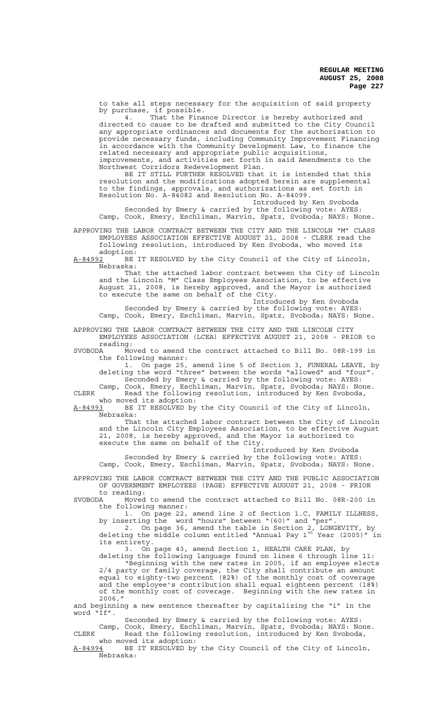to take all steps necessary for the acquisition of said property by purchase, if possible.

4. That the Finance Director is hereby authorized and directed to cause to be drafted and submitted to the City Council any appropriate ordinances and documents for the authorization to provide necessary funds, including Community Improvement Financing in accordance with the Community Development Law, to finance the related necessary and appropriate public acquisitions, improvements, and activities set forth in said Amendments to the

Northwest Corridors Redevelopment Plan. BE IT STILL FURTHER RESOLVED that it is intended that this resolution and the modifications adopted herein are supplemental to the findings, approvals, and authorizations as set forth in Resolution No. A-84082 and Resolution No. A-84099.

Introduced by Ken Svoboda

Seconded by Emery & carried by the following vote: AYES: Camp, Cook, Emery, Eschliman, Marvin, Spatz, Svoboda; NAYS: None.

APPROVING THE LABOR CONTRACT BETWEEN THE CITY AND THE LINCOLN "M" CLASS EMPLOYEES ASSOCIATION EFFECTIVE AUGUST 21, 2008 - CLERK read the following resolution, introduced by Ken Svoboda, who moved its

 $adoption:  
A-84992 BE$ BE IT RESOLVED by the City Council of the City of Lincoln, Nebraska:

That the attached labor contract between the City of Lincoln and the Lincoln "M" Class Employees Association, to be effective August 21, 2008, is hereby approved, and the Mayor is authorized to execute the same on behalf of the City.

Introduced by Ken Svoboda Seconded by Emery & carried by the following vote: AYES: Camp, Cook, Emery, Eschliman, Marvin, Spatz, Svoboda; NAYS: None.

APPROVING THE LABOR CONTRACT BETWEEN THE CITY AND THE LINCOLN CITY EMPLOYEES ASSOCIATION (LCEA) EFFECTIVE AUGUST 21, 2008 - PRIOR to

reading:<br>SVOBODA Mo Moved to amend the contract attached to Bill No. 08R-199 in the following manner:

1. On page 25, amend line 5 of Section 3, FUNERAL LEAVE, by deleting the word "three" between the words "allowed" and "four". Seconded by Emery & carried by the following vote: AYES:

Camp, Cook, Emery, Eschliman, Marvin, Spatz, Svoboda; NAYS: None. CLERK Read the following resolution, introduced by Ken Svoboda, who moved its adoption:<br>A-84993 BE IT RESOLVED by

BE IT RESOLVED by the City Council of the City of Lincoln, Nebraska:

That the attached labor contract between the City of Lincoln and the Lincoln City Employees Association, to be effective August 21, 2008, is hereby approved, and the Mayor is authorized to execute the same on behalf of the City.

Introduced by Ken Svoboda Seconded by Emery & carried by the following vote: AYES: Camp, Cook, Emery, Eschliman, Marvin, Spatz, Svoboda; NAYS: None.

APPROVING THE LABOR CONTRACT BETWEEN THE CITY AND THE PUBLIC ASSOCIATION OF GOVERNMENT EMPLOYEES (PAGE) EFFECTIVE AUGUST 21, 2008 - PRIOR

to reading:<br>SVOBODA Moved Moved to amend the contract attached to Bill No. 08R-200 in the following manner:

1. On page 22, amend line 2 of Section 1.C, FAMILY ILLNESS, by inserting the word "hours" between "(60)" and "per".

2. On page 36, amend the table in Section 2, LONGEVITY, by deleting the middle column entitled "Annual Pay 1<sup>st</sup> Year (2005)" in its entirety.

3. On page 43, amend Section 1, HEALTH CARE PLAN, by deleting the following language found on lines 6 through line 11: "Beginning with the new rates in 2005, if an employee elects 2/4 party or family coverage, the City shall contribute an amount equal to eighty-two percent (82%) of the monthly cost of coverage and the employee's contribution shall equal eighteen percent (18%) of the monthly cost of coverage. Beginning with the new rates in 2006,"

and beginning a new sentence thereafter by capitalizing the "i" in the word "If".

Seconded by Emery & carried by the following vote: AYES: Camp, Cook, Emery, Eschliman, Marvin, Spatz, Svoboda; NAYS: None. CLERK Read the following resolution, introduced by Ken Svoboda, who moved its adoption:

A-84994 BE IT RESOLVED by the City Council of the City of Lincoln, <u>. -</u><br>Nebraska: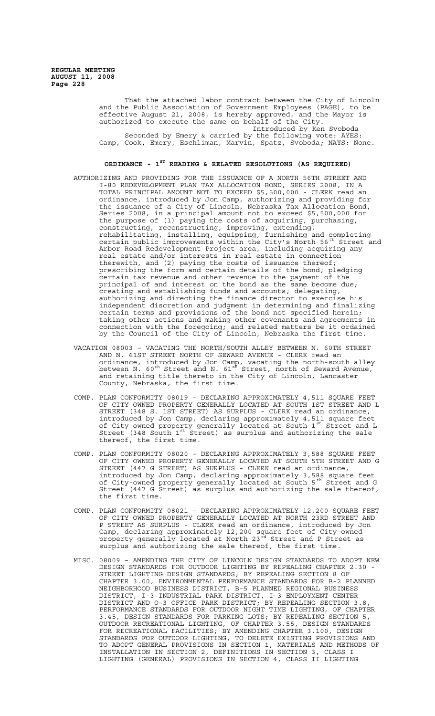That the attached labor contract between the City of Lincoln and the Public Association of Government Employees (PAGE), to be effective August 21, 2008, is hereby approved, and the Mayor is authorized to execute the same on behalf of the City. Introduced by Ken Svoboda Seconded by Emery & carried by the following vote: AYES: Camp, Cook, Emery, Eschliman, Marvin, Spatz, Svoboda; NAYS: None.

# **ORDINANCE - 1ST READING & RELATED RESOLUTIONS (AS REQUIRED)**

- AUTHORIZING AND PROVIDING FOR THE ISSUANCE OF A NORTH 56TH STREET AND I-80 REDEVELOPMENT PLAN TAX ALLOCATION BOND, SERIES 2008, IN A TOTAL PRINCIPAL AMOUNT NOT TO EXCEED \$5,500,000 - CLERK read an ordinance, introduced by Jon Camp, authorizing and providing for the issuance of a City of Lincoln, Nebraska Tax Allocation Bond, Series 2008, in a principal amount not to exceed \$5,500,000 for the purpose of (1) paying the costs of acquiring, purchasing, constructing, reconstructing, improving, extending, rehabilitating, installing, equipping, furnishing and completing certain public improvements within the City's North 56<sup>th</sup> Street and Arbor Road Redevelopment Project area, including acquiring any real estate and/or interests in real estate in connection therewith, and (2) paying the costs of issuance thereof; prescribing the form and certain details of the bond; pledging certain tax revenue and other revenue to the payment of the principal of and interest on the bond as the same become due; creating and establishing funds and accounts; delegating, authorizing and directing the finance director to exercise his independent discretion and judgment in determining and finalizing certain terms and provisions of the bond not specified herein; taking other actions and making other covenants and agreements in connection with the foregoing; and related matters be it ordained by the Council of the City of Lincoln, Nebraska the first time.
- VACATION 08003 VACATING THE NORTH/SOUTH ALLEY BETWEEN N. 60TH STREET AND N. 61ST STREET NORTH OF SEWARD AVENUE - CLERK read an ordinance, introduced by Jon Camp, vacating the north-south alley between N. 60<sup>th</sup> Street and N. 61<sup>st Street, north of Seward Avenue,</sup> and retaining title thereto in the City of Lincoln, Lancaster County, Nebraska, the first time.
- COMP. PLAN CONFORMITY 08019 DECLARING APPROXIMATELY 4,511 SQUARE FEET OF CITY OWNED PROPERTY GENERALLY LOCATED AT SOUTH 1ST STREET AND L STREET (348 S. 1ST STREET) AS SURPLUS - CLERK read an ordinance, introduced by Jon Camp, declaring approximately 4,511 square feet of City-owned property generally located at South 1st Street and L Street (348 South 1st Street) as surplus and authorizing the sale thereof, the first time.
- COMP. PLAN CONFORMITY 08020 DECLARING APPROXIMATELY 3,588 SQUARE FEET OF CITY OWNED PROPERTY GENERALLY LOCATED AT SOUTH 5TH STREET AND G STREET (447 G STREET) AS SURPLUS - CLERK read an ordinance, introduced by Jon Camp, declaring approximately 3,588 square feet of City-owned property generally located at South 5<sup>th</sup> Street and G Street (447 G Street) as surplus and authorizing the sale thereof, the first time.
- COMP. PLAN CONFORMITY 08021 DECLARING APPROXIMATELY 12,200 SQUARE FEET OF CITY OWNED PROPERTY GENERALLY LOCATED AT NORTH 23RD STREET AND P STREET AS SURPLUS - CLERK read an ordinance, introduced by Jon Camp, declaring approximately 12,200 square feet of City-owned property generally located at North 23<sup>rd</sup> Street and P Street as surplus and authorizing the sale thereof, the first time.
- MISC. 08009 AMENDING THE CITY OF LINCOLN DESIGN STANDARDS TO ADOPT NEW DESIGN STANDARDS FOR OUTDOOR LIGHTING BY REPEALING CHAPTER 2.30 - STREET LIGHTING DESIGN STANDARDS; BY REPEALING SECTION 8 OF CHAPTER 3.00, ENVIRONMENTAL PERFORMANCE STANDARDS FOR B-2 PLANNED NEIGHBORHOOD BUSINESS DISTRICT, B-5 PLANNED REGIONAL BUSINESS DISTRICT, I-3 INDUSTRIAL PARK DISTRICT, I-3 EMPLOYMENT CENTER DISTRICT AND O-3 OFFICE PARK DISTRICT; BY REPEALING SECTION 3.8, PERFORMANCE STANDARDS FOR OUTDOOR NIGHT TIME LIGHTING, OF CHAPTER 3.45, DESIGN STANDARDS FOR PARKING LOTS; BY REPEALING SECTION 5, OUTDOOR RECREATIONAL LIGHTING, OF CHAPTER 3.55, DESIGN STANDARDS FOR RECREATIONAL FACILITIES; BY AMENDING CHAPTER 3.100, DESIGN STANDARDS FOR OUTDOOR LIGHTING, TO DELETE EXISTING PROVISIONS AND TO ADOPT GENERAL PROVISIONS IN SECTION 1, MATERIALS AND METHODS OF INSTALLATION IN SECTION 2, DEFINITIONS IN SECTION 3, CLASS I LIGHTING (GENERAL) PROVISIONS IN SECTION 4, CLASS II LIGHTING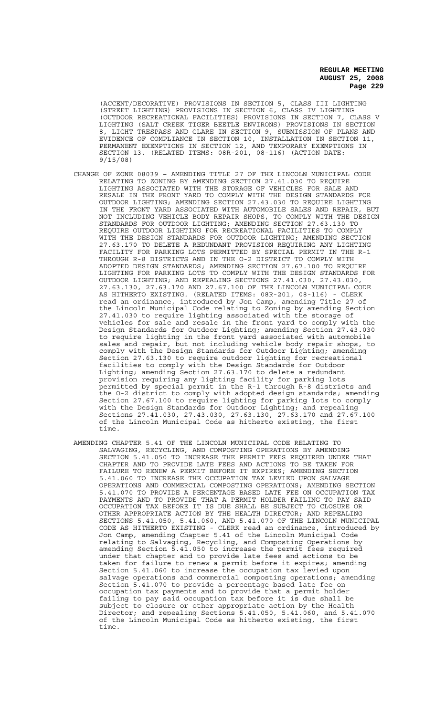(ACCENT/DECORATIVE) PROVISIONS IN SECTION 5, CLASS III LIGHTING (STREET LIGHTING) PROVISIONS IN SECTION 6, CLASS IV LIGHTING (OUTDOOR RECREATIONAL FACILITIES) PROVISIONS IN SECTION 7, CLASS V LIGHTING (SALT CREEK TIGER BEETLE ENVIRONS) PROVISIONS IN SECTION 8, LIGHT TRESPASS AND GLARE IN SECTION 9, SUBMISSION OF PLANS AND EVIDENCE OF COMPLIANCE IN SECTION 10, INSTALLATION IN SECTION 11, PERMANENT EXEMPTIONS IN SECTION 12, AND TEMPORARY EXEMPTIONS IN SECTION 13. (RELATED ITEMS: 08R-201, 08-116) (ACTION DATE: 9/15/08)

- CHANGE OF ZONE 08039 AMENDING TITLE 27 OF THE LINCOLN MUNICIPAL CODE RELATING TO ZONING BY AMENDING SECTION 27.41.030 TO REQUIRE LIGHTING ASSOCIATED WITH THE STORAGE OF VEHICLES FOR SALE AND RESALE IN THE FRONT YARD TO COMPLY WITH THE DESIGN STANDARDS FOR OUTDOOR LIGHTING; AMENDING SECTION 27.43.030 TO REQUIRE LIGHTING IN THE FRONT YARD ASSOCIATED WITH AUTOMOBILE SALES AND REPAIR, BUT NOT INCLUDING VEHICLE BODY REPAIR SHOPS, TO COMPLY WITH THE DESIGN STANDARDS FOR OUTDOOR LIGHTING; AMENDING SECTION 27.63.130 TO REQUIRE OUTDOOR LIGHTING FOR RECREATIONAL FACILITIES TO COMPLY WITH THE DESIGN STANDARDS FOR OUTDOOR LIGHTING; AMENDING SECTION 27.63.170 TO DELETE A REDUNDANT PROVISION REQUIRING ANY LIGHTING FACILITY FOR PARKING LOTS PERMITTED BY SPECIAL PERMIT IN THE R-1 THROUGH R-8 DISTRICTS AND IN THE O-2 DISTRICT TO COMPLY WITH ADOPTED DESIGN STANDARDS; AMENDING SECTION 27.67.100 TO REQUIRE LIGHTING FOR PARKING LOTS TO COMPLY WITH THE DESIGN STANDARDS FOR OUTDOOR LIGHTING; AND REPEALING SECTIONS 27.41.030, 27.43.030, 27.63.130, 27.63.170 AND 27.67.100 OF THE LINCOLN MUNICIPAL CODE AS HITHERTO EXISTING. (RELATED ITEMS: 08R-201, 08-116) - CLERK read an ordinance, introduced by Jon Camp, amending Title 27 of the Lincoln Municipal Code relating to Zoning by amending Section 27.41.030 to require lighting associated with the storage of vehicles for sale and resale in the front yard to comply with the Design Standards for Outdoor Lighting; amending Section 27.43.030 to require lighting in the front yard associated with automobile sales and repair, but not including vehicle body repair shops, to comply with the Design Standards for Outdoor Lighting; amending Section 27.63.130 to require outdoor lighting for recreational facilities to comply with the Design Standards for Outdoor Lighting; amending Section 27.63.170 to delete a redundant provision requiring any lighting facility for parking lots permitted by special permit in the R-1 through R-8 districts and the O-2 district to comply with adopted design standards; amending Section 27.67.100 to require lighting for parking lots to comply with the Design Standards for Outdoor Lighting; and repealing Sections 27.41.030, 27.43.030, 27.63.130, 27.63.170 and 27.67.100 of the Lincoln Municipal Code as hitherto existing, the first time.
- AMENDING CHAPTER 5.41 OF THE LINCOLN MUNICIPAL CODE RELATING TO SALVAGING, RECYCLING, AND COMPOSTING OPERATIONS BY AMENDING SECTION 5.41.050 TO INCREASE THE PERMIT FEES REQUIRED UNDER THAT CHAPTER AND TO PROVIDE LATE FEES AND ACTIONS TO BE TAKEN FOR FAILURE TO RENEW A PERMIT BEFORE IT EXPIRES; AMENDING SECTION 5.41.060 TO INCREASE THE OCCUPATION TAX LEVIED UPON SALVAGE OPERATIONS AND COMMERCIAL COMPOSTING OPERATIONS; AMENDING SECTION 5.41.070 TO PROVIDE A PERCENTAGE BASED LATE FEE ON OCCUPATION TAX PAYMENTS AND TO PROVIDE THAT A PERMIT HOLDER FAILING TO PAY SAID OCCUPATION TAX BEFORE IT IS DUE SHALL BE SUBJECT TO CLOSURE OR OTHER APPROPRIATE ACTION BY THE HEALTH DIRECTOR; AND REPEALING SECTIONS 5.41.050, 5.41.060, AND 5.41.070 OF THE LINCOLN MUNICIPAL CODE AS HITHERTO EXISTING - CLERK read an ordinance, introduced by Jon Camp, amending Chapter 5.41 of the Lincoln Municipal Code relating to Salvaging, Recycling, and Composting Operations by amending Section 5.41.050 to increase the permit fees required under that chapter and to provide late fees and actions to be taken for failure to renew a permit before it expires; amending Section 5.41.060 to increase the occupation tax levied upon salvage operations and commercial composting operations; amending Section 5.41.070 to provide a percentage based late fee on occupation tax payments and to provide that a permit holder failing to pay said occupation tax before it is due shall be subject to closure or other appropriate action by the Health Director; and repealing Sections 5.41.050, 5.41.060, and 5.41.070 of the Lincoln Municipal Code as hitherto existing, the first time.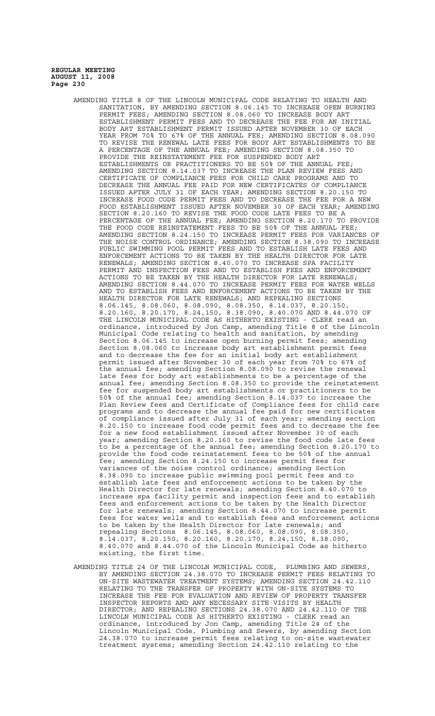- AMENDING TITLE 8 OF THE LINCOLN MUNICIPAL CODE RELATING TO HEALTH AND SANITATION, BY AMENDING SECTION 8.06.145 TO INCREASE OPEN BURNING PERMIT FEES; AMENDING SECTION 8.08.060 TO INCREASE BODY ART ESTABLISHMENT PERMIT FEES AND TO DECREASE THE FEE FOR AN INITIAL BODY ART ESTABLISHMENT PERMIT ISSUED AFTER NOVEMBER 30 OF EACH YEAR FROM 70% TO 67% OF THE ANNUAL FEE; AMENDING SECTION 8.08.090 TO REVISE THE RENEWAL LATE FEES FOR BODY ART ESTABLISHMENTS TO BE A PERCENTAGE OF THE ANNUAL FEE; AMENDING SECTION 8.08.350 TO PROVIDE THE REINSTATEMENT FEE FOR SUSPENDED BODY ART ESTABLISHMENTS OR PRACTITIONERS TO BE 50% OF THE ANNUAL FEE; AMENDING SECTION 8.14.037 TO INCREASE THE PLAN REVIEW FEES AND CERTIFICATE OF COMPLIANCE FEES FOR CHILD CARE PROGRAMS AND TO DECREASE THE ANNUAL FEE PAID FOR NEW CERTIFICATES OF COMPLIANCE ISSUED AFTER JULY 31 OF EACH YEAR; AMENDING SECTION 8.20.150 TO INCREASE FOOD CODE PERMIT FEES AND TO DECREASE THE FEE FOR A NEW FOOD ESTABLISHMENT ISSUED AFTER NOVEMBER 30 OF EACH YEAR; AMENDING SECTION 8.20.160 TO REVISE THE FOOD CODE LATE FEES TO BE A PERCENTAGE OF THE ANNUAL FEE; AMENDING SECTION 8.20.170 TO PROVIDE THE FOOD CODE REINSTATEMENT FEES TO BE 50% OF THE ANNUAL FEE; AMENDING SECTION 8.24.150 TO INCREASE PERMIT FEES FOR VARIANCES OF THE NOISE CONTROL ORDINANCE; AMENDING SECTION 8.38.090 TO INCREASE PUBLIC SWIMMING POOL PERMIT FEES AND TO ESTABLISH LATE FEES AND ENFORCEMENT ACTIONS TO BE TAKEN BY THE HEALTH DIRECTOR FOR LATE RENEWALS; AMENDING SECTION 8.40.070 TO INCREASE SPA FACILITY PERMIT AND INSPECTION FEES AND TO ESTABLISH FEES AND ENFORCEMENT ACTIONS TO BE TAKEN BY THE HEALTH DIRECTOR FOR LATE RENEWALS; AMENDING SECTION 8.44.070 TO INCREASE PERMIT FEES FOR WATER WELLS AND TO ESTABLISH FEES AND ENFORCEMENT ACTIONS TO BE TAKEN BY THE HEALTH DIRECTOR FOR LATE RENEWALS; AND REPEALING SECTIONS 8.06.145, 8.08.060, 8.08.090, 8.08.350, 8.14.037, 8.20.150, 8.20.160, 8.20.170, 8.24,150, 8.38.090, 8.40.070 AND 8.44.070 OF THE LINCOLN MUNICIPAL CODE AS HITHERTO EXISTING - CLERK read an ordinance, introduced by Jon Camp, amending Title 8 of the Lincoln Municipal Code relating to health and sanitation, by amending Section 8.06.145 to increase open burning permit fees; amending Section 8.08.060 to increase body art establishment permit fees and to decrease the fee for an initial body art establishment permit issued after November 30 of each year from 70% to 67% of the annual fee; amending Section 8.08.090 to revise the renewal late fees for body art establishments to be a percentage of the annual fee; amending Section 8.08.350 to provide the reinstatement fee for suspended body art establishments or practitioners to be 50% of the annual fee; amending Section 8.14.037 to increase the Plan Review fees and Certificate of Compliance fees for child care programs and to decrease the annual fee paid for new certificates of compliance issued after July 31 of each year; amending section 8.20.150 to increase food code permit fees and to decrease the fee for a new food establishment issued after November 30 of each year; amending Section 8.20.160 to revise the food code late fees to be a percentage of the annual fee; amending Section 8.20.170 to provide the food code reinstatement fees to be 50% of the annual fee; amending Section 8.24.150 to increase permit fees for variances of the noise control ordinance; amending Section 8.38.090 to increase public swimming pool permit fees and to establish late fees and enforcement actions to be taken by the Health Director for late renewals; amending Section 8.40.070 to increase spa facility permit and inspection fees and to establish fees and enforcement actions to be taken by the Health Director for late renewals; amending Section 8.44.070 to increase permit fees for water wells and to establish fees and enforcement actions to be taken by the Health Director for late renewals; and repealing Sections 8.06.145, 8.08.060, 8.08.090, 8.08.350, 8.14.037, 8.20.150, 8.20.160, 8.20.170, 8.24,150, 8.38.090, 8.40.070 and 8.44.070 of the Lincoln Municipal Code as hitherto existing, the first time.
- AMENDING TITLE 24 OF THE LINCOLN MUNICIPAL CODE, PLUMBING AND SEWERS, BY AMENDING SECTION 24.38.070 TO INCREASE PERMIT FEES RELATING TO ON-SITE WASTEWATER TREATMENT SYSTEMS; AMENDING SECTION 24.42.110 RELATING TO THE TRANSFER OF PROPERTY WITH ON-SITE SYSTEMS TO INCREASE THE FEE FOR EVALUATION AND REVIEW OF PROPERTY TRANSFER INSPECTOR REPORTS AND ANY NECESSARY SITE VISITS BY HEALTH DIRECTOR; AND REPEALING SECTIONS 24.38.070 AND 24.42.110 OF THE LINCOLN MUNICIPAL CODE AS HITHERTO EXISTING - CLERK read an ordinance, introduced by Jon Camp, amending Title 24 of the Lincoln Municipal Code, Plumbing and Sewers, by amending Section 24.38.070 to increase permit fees relating to on-site wastewater treatment systems; amending Section 24.42.110 relating to the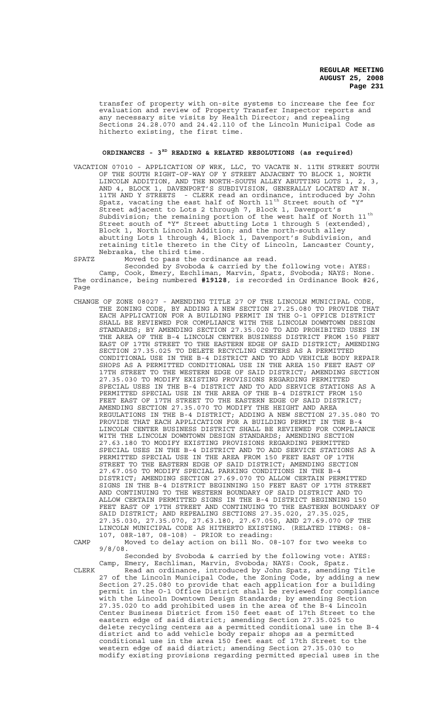transfer of property with on-site systems to increase the fee for evaluation and review of Property Transfer Inspector reports and any necessary site visits by Health Director; and repealing Sections 24.28.070 and 24.42.110 of the Lincoln Municipal Code as hitherto existing, the first time.

# **ORDINANCES - 3RD READING & RELATED RESOLUTIONS (as required)**

VACATION 07010 - APPLICATION OF WRK, LLC, TO VACATE N. 11TH STREET SOUTH OF THE SOUTH RIGHT-OF-WAY OF Y STREET ADJACENT TO BLOCK 1, NORTH LINCOLN ADDITION, AND THE NORTH-SOUTH ALLEY ABUTTING LOTS 1, 2, 3, AND 4, BLOCK 1, DAVENPORT'S SUBDIVISION, GENERALLY LOCATED AT N. 11TH AND Y STREETS - CLERK read an ordinance, introduced by John Spatz, vacating the east half of North  $11^{\text{th}}$  Street south of  $\sqrt{\ }$ Y" Street adjacent to Lots 2 through 7, Block 1, Davenport's Subdivision; the remaining portion of the west half of North 11<sup>th</sup> Street south of "Y" Street abutting Lots 1 through 5 (extended), Block 1, North Lincoln Addition; and the north-south alley abutting Lots 1 through 4, Block 1, Davenport's Subdivision, and retaining title thereto in the City of Lincoln, Lancaster County, Nebraska, the third time.

SPATZ Moved to pass the ordinance as read.

Seconded by Svoboda & carried by the following vote: AYES: Camp, Cook, Emery, Eschliman, Marvin, Spatz, Svoboda; NAYS: None. The ordinance, being numbered **#19128**, is recorded in Ordinance Book #26, Page

- CHANGE OF ZONE 08027 AMENDING TITLE 27 OF THE LINCOLN MUNICIPAL CODE, THE ZONING CODE, BY ADDING A NEW SECTION 27.25.080 TO PROVIDE THAT EACH APPLICATION FOR A BUILDING PERMIT IN THE O-1 OFFICE DISTRICT SHALL BE REVIEWED FOR COMPLIANCE WITH THE LINCOLN DOWNTOWN DESIGN STANDARDS; BY AMENDING SECTION 27.35.020 TO ADD PROHIBITED USES IN THE AREA OF THE B-4 LINCOLN CENTER BUSINESS DISTRICT FROM 150 FEET EAST OF 17TH STREET TO THE EASTERN EDGE OF SAID DISTRICT; AMENDING SECTION 27.35.025 TO DELETE RECYCLING CENTERS AS A PERMITTED CONDITIONAL USE IN THE B-4 DISTRICT AND TO ADD VEHICLE BODY REPAIR SHOPS AS A PERMITTED CONDITIONAL USE IN THE AREA 150 FEET EAST OF 17TH STREET TO THE WESTERN EDGE OF SAID DISTRICT; AMENDING SECTION 27.35.030 TO MODIFY EXISTING PROVISIONS REGARDING PERMITTED SPECIAL USES IN THE B-4 DISTRICT AND TO ADD SERVICE STATIONS AS A PERMITTED SPECIAL USE IN THE AREA OF THE B-4 DISTRICT FROM 150 FEET EAST OF 17TH STREET TO THE EASTERN EDGE OF SAID DISTRICT; AMENDING SECTION 27.35.070 TO MODIFY THE HEIGHT AND AREA REGULATIONS IN THE B-4 DISTRICT; ADDING A NEW SECTION 27.35.080 TO PROVIDE THAT EACH APPLICATION FOR A BUILDING PERMIT IN THE B-4 LINCOLN CENTER BUSINESS DISTRICT SHALL BE REVIEWED FOR COMPLIANCE WITH THE LINCOLN DOWNTOWN DESIGN STANDARDS; AMENDING SECTION 27.63.180 TO MODIFY EXISTING PROVISIONS REGARDING PERMITTED SPECIAL USES IN THE B-4 DISTRICT AND TO ADD SERVICE STATIONS AS A PERMITTED SPECIAL USE IN THE AREA FROM 150 FEET EAST OF 17TH STREET TO THE EASTERN EDGE OF SAID DISTRICT; AMENDING SECTION 27.67.050 TO MODIFY SPECIAL PARKING CONDITIONS IN THE B-4 DISTRICT; AMENDING SECTION 27.69.070 TO ALLOW CERTAIN PERMITTED SIGNS IN THE B-4 DISTRICT BEGINNING 150 FEET EAST OF 17TH STREET AND CONTINUING TO THE WESTERN BOUNDARY OF SAID DISTRICT AND TO ALLOW CERTAIN PERMITTED SIGNS IN THE B-4 DISTRICT BEGINNING 150 FEET EAST OF 17TH STREET AND CONTINUING TO THE EASTERN BOUNDARY OF SAID DISTRICT; AND REPEALING SECTIONS 27.35.020, 27.35.025, 27.35.030, 27.35.070, 27.63.180, 27.67.050, AND 27.69.070 OF THE LINCOLN MUNICIPAL CODE AS HITHERTO EXISTING. (RELATED ITEMS: 08- 107, 08R-187, 08-108) - PRIOR to reading:
- 

CAMP Moved to delay action on bill No. 08-107 for two weeks to 9/8/08. Seconded by Svoboda & carried by the following vote: AYES:

Camp, Emery, Eschliman, Marvin, Svoboda; NAYS: Cook, Spatz. CLERK Read an ordinance, introduced by John Spatz, amending Title 27 of the Lincoln Municipal Code, the Zoning Code, by adding a new Section 27.25.080 to provide that each application for a building permit in the O-1 Office District shall be reviewed for compliance with the Lincoln Downtown Design Standards; by amending Section 27.35.020 to add prohibited uses in the area of the B-4 Lincoln Center Business District from 150 feet east of 17th Street to the eastern edge of said district; amending Section 27.35.025 to delete recycling centers as a permitted conditional use in the B-4 district and to add vehicle body repair shops as a permitted conditional use in the area 150 feet east of 17th Street to the western edge of said district; amending Section 27.35.030 to modify existing provisions regarding permitted special uses in the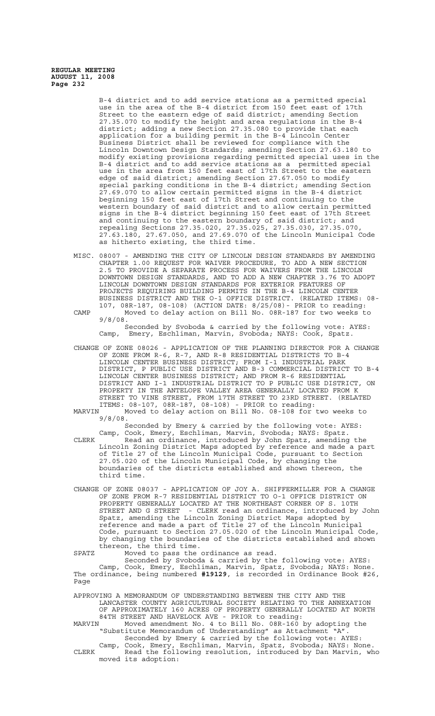> B-4 district and to add service stations as a permitted special use in the area of the B-4 district from 150 feet east of 17th<br>Street to the eastern edge of said district; amending Section to the eastern edge of said district; amending Section 27.35.070 to modify the height and area regulations in the B-4 district; adding a new Section 27.35.080 to provide that each application for a building permit in the B-4 Lincoln Center Business District shall be reviewed for compliance with the Lincoln Downtown Design Standards; amending Section 27.63.180 to modify existing provisions regarding permitted special uses in the B-4 district and to add service stations as a permitted special use in the area from 150 feet east of 17th Street to the eastern edge of said district; amending Section 27.67.050 to modify special parking conditions in the B-4 district; amending Section 27.69.070 to allow certain permitted signs in the B-4 district beginning 150 feet east of 17th Street and continuing to the western boundary of said district and to allow certain permitted signs in the B-4 district beginning 150 feet east of 17th Street and continuing to the eastern boundary of said district; and repealing Sections 27.35.020, 27.35.025, 27.35.030, 27.35.070, 27.63.180, 27.67.050, and 27.69.070 of the Lincoln Municipal Code as hitherto existing, the third time.

MISC. 08007 - AMENDING THE CITY OF LINCOLN DESIGN STANDARDS BY AMENDING CHAPTER 1.00 REQUEST FOR WAIVER PROCEDURE, TO ADD A NEW SECTION 2.5 TO PROVIDE A SEPARATE PROCESS FOR WAIVERS FROM THE LINCOLN DOWNTOWN DESIGN STANDARDS, AND TO ADD A NEW CHAPTER 3.76 TO ADOPT LINCOLN DOWNTOWN DESIGN STANDARDS FOR EXTERIOR FEATURES OF PROJECTS REQUIRING BUILDING PERMITS IN THE B-4 LINCOLN CENTER BUSINESS DISTRICT AND THE O-1 OFFICE DISTRICT. (RELATED ITEMS: 08- 107, 08R-187, 08-108) (ACTION DATE: 8/25/08)- PRIOR to reading: CAMP Moved to delay action on Bill No. 08R-187 for two weeks to

9/8/08. Seconded by Svoboda & carried by the following vote: AYES: Camp, Emery, Eschliman, Marvin, Svoboda; NAYS: Cook, Spatz.

- CHANGE OF ZONE 08026 APPLICATION OF THE PLANNING DIRECTOR FOR A CHANGE OF ZONE FROM R-6, R-7, AND R-8 RESIDENTIAL DISTRICTS TO B-4 LINCOLN CENTER BUSINESS DISTRICT; FROM I-1 INDUSTRIAL PARK DISTRICT, P PUBLIC USE DISTRICT AND B-3 COMMERCIAL DISTRICT TO B-4 LINCOLN CENTER BUSINESS DISTRICT; AND FROM R-6 RESIDENTIAL DISTRICT AND I-1 INDUSTRIAL DISTRICT TO P PUBLIC USE DISTRICT, ON PROPERTY IN THE ANTELOPE VALLEY AREA GENERALLY LOCATED FROM K STREET TO VINE STREET, FROM 17TH STREET TO 23RD STREET. (RELATED ITEMS: 08-107, 08R-187, 08-108) - PRIOR to reading:
- MARVIN Moved to delay action on Bill No. 08-108 for two weeks to 9/8/08.

Seconded by Emery & carried by the following vote: AYES:

- Camp, Cook, Emery, Eschliman, Marvin, Svoboda; NAYS: Spatz. CLERK Read an ordinance, introduced by John Spatz, amending the Lincoln Zoning District Maps adopted by reference and made a part of Title 27 of the Lincoln Municipal Code, pursuant to Section 27.05.020 of the Lincoln Municipal Code, by changing the boundaries of the districts established and shown thereon, the third time.
- CHANGE OF ZONE 08037 APPLICATION OF JOY A. SHIFFERMILLER FOR A CHANGE OF ZONE FROM R-7 RESIDENTIAL DISTRICT TO O-1 OFFICE DISTRICT ON PROPERTY GENERALLY LOCATED AT THE NORTHEAST CORNER OF S. 10TH STREET AND G STREET - CLERK read an ordinance, introduced by John Spatz, amending the Lincoln Zoning District Maps adopted by reference and made a part of Title 27 of the Lincoln Municipal Code, pursuant to Section 27.05.020 of the Lincoln Municipal Code, by changing the boundaries of the districts established and shown thereon, the third time.

SPATZ Moved to pass the ordinance as read. Seconded by Svoboda & carried by the following vote: AYES: Camp, Cook, Emery, Eschliman, Marvin, Spatz, Svoboda; NAYS: None. The ordinance, being numbered **#19129**, is recorded in Ordinance Book #26, Page

APPROVING A MEMORANDUM OF UNDERSTANDING BETWEEN THE CITY AND THE LANCASTER COUNTY AGRICULTURAL SOCIETY RELATING TO THE ANNEXATION OF APPROXIMATELY 160 ACRES OF PROPERTY GENERALLY LOCATED AT NORTH 84TH STREET AND HAVELOCK AVE - PRIOR to reading: MARVIN Moved amendment No. 4 to Bill No. 08R-160 by adopting the "Substitute Memorandum of Understanding" as Attachment "A". Seconded by Emery & carried by the following vote: AYES: Camp, Cook, Emery, Eschliman, Marvin, Spatz, Svoboda; NAYS: None. CLERK Read the following resolution, introduced by Dan Marvin, who moved its adoption: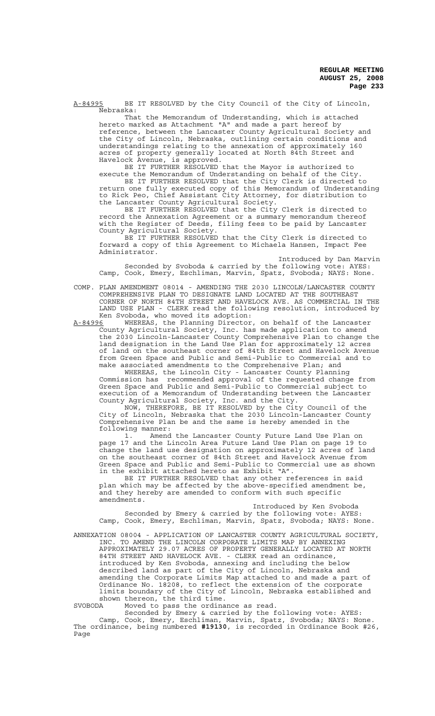A-84995 BE IT RESOLVED by the City Council of the City of Lincoln, Nebraska:

That the Memorandum of Understanding, which is attached hereto marked as Attachment "A" and made a part hereof by reference, between the Lancaster County Agricultural Society and the City of Lincoln, Nebraska, outlining certain conditions and understandings relating to the annexation of approximately 160 acres of property generally located at North 84th Street and Havelock Avenue, is approved.

BE IT FURTHER RESOLVED that the Mayor is authorized to execute the Memorandum of Understanding on behalf of the City. BE IT FURTHER RESOLVED that the City Clerk is directed to return one fully executed copy of this Memorandum of Understanding to Rick Peo, Chief Assistant City Attorney, for distribution to the Lancaster County Agricultural Society.

BE IT FURTHER RESOLVED that the City Clerk is directed to record the Annexation Agreement or a summary memorandum thereof with the Register of Deeds, filing fees to be paid by Lancaster County Agricultural Society.

BE IT FURTHER RESOLVED that the City Clerk is directed to forward a copy of this Agreement to Michaela Hansen, Impact Fee Administrator.

Introduced by Dan Marvin Seconded by Svoboda & carried by the following vote: AYES: Camp, Cook, Emery, Eschliman, Marvin, Spatz, Svoboda; NAYS: None.

- COMP. PLAN AMENDMENT 08014 AMENDING THE 2030 LINCOLN/LANCASTER COUNTY COMPREHENSIVE PLAN TO DESIGNATE LAND LOCATED AT THE SOUTHEAST CORNER OF NORTH 84TH STREET AND HAVELOCK AVE. AS COMMERCIAL IN THE LAND USE PLAN - CLERK read the following resolution, introduced by Ken Svoboda, who moved its adoption:<br>A-84996 WHEREAS, the Planning Director
- A-84996 WHEREAS, the Planning Director, on behalf of the Lancaster County Agricultural Society, Inc. has made application to amend the 2030 Lincoln-Lancaster County Comprehensive Plan to change the land designation in the Land Use Plan for approximately 12 acres of land on the southeast corner of 84th Street and Havelock Avenue from Green Space and Public and Semi-Public to Commercial and to make associated amendments to the Comprehensive Plan; and

WHEREAS, the Lincoln City - Lancaster County Planning Commission has recommended approval of the requested change from Green Space and Public and Semi-Public to Commercial subject to execution of a Memorandum of Understanding between the Lancaster County Agricultural Society, Inc. and the City.

NOW, THEREFORE, BE IT RESOLVED by the City Council of the City of Lincoln, Nebraska that the 2030 Lincoln-Lancaster County Comprehensive Plan be and the same is hereby amended in the following manner:

1. Amend the Lancaster County Future Land Use Plan on page 17 and the Lincoln Area Future Land Use Plan on page 19 to change the land use designation on approximately 12 acres of land on the southeast corner of 84th Street and Havelock Avenue from Green Space and Public and Semi-Public to Commercial use as shown in the exhibit attached hereto as Exhibit "A".

BE IT FURTHER RESOLVED that any other references in said plan which may be affected by the above-specified amendment be, and they hereby are amended to conform with such specific amendments.

Introduced by Ken Svoboda Seconded by Emery & carried by the following vote: AYES: Camp, Cook, Emery, Eschliman, Marvin, Spatz, Svoboda; NAYS: None.

ANNEXATION 08004 - APPLICATION OF LANCASTER COUNTY AGRICULTURAL SOCIETY, INC. TO AMEND THE LINCOLN CORPORATE LIMITS MAP BY ANNEXING APPROXIMATELY 29.07 ACRES OF PROPERTY GENERALLY LOCATED AT NORTH 84TH STREET AND HAVELOCK AVE. - CLERK read an ordinance, introduced by Ken Svoboda, annexing and including the below described land as part of the City of Lincoln, Nebraska and amending the Corporate Limits Map attached to and made a part of Ordinance No. 18208, to reflect the extension of the corporate limits boundary of the City of Lincoln, Nebraska established and shown thereon, the third time.<br>SVOBODA Moved to pass the ordina

Moved to pass the ordinance as read.

Seconded by Emery & carried by the following vote: AYES: Camp, Cook, Emery, Eschliman, Marvin, Spatz, Svoboda; NAYS: None. The ordinance, being numbered **#19130**, is recorded in Ordinance Book #26, Page